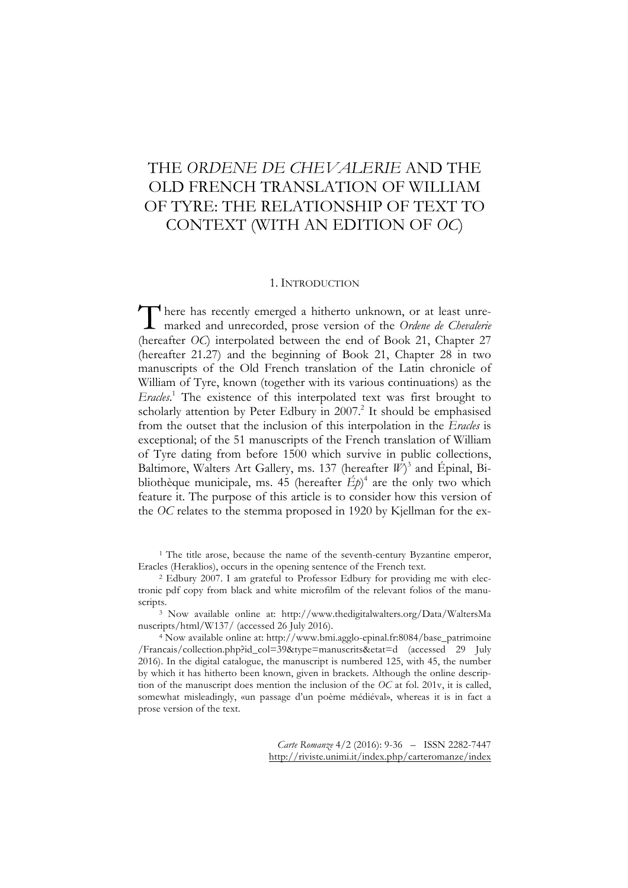# THE *ORDENE DE CHEVALERIE* AND THE OLD FRENCH TRANSLATION OF WILLIAM OF TYRE: THE RELATIONSHIP OF TEXT TO CONTEXT (WITH AN EDITION OF *OC*)

#### 1. INTRODUCTION

There has recently emerged a hitherto unknown, or at least unre-<br>marked and unrecorded, prose version of the Ordene de Chevalerie marked and unrecorded, prose version of the *Ordene de Chevalerie*  (hereafter *OC*) interpolated between the end of Book 21, Chapter 27 (hereafter 21.27) and the beginning of Book 21, Chapter 28 in two manuscripts of the Old French translation of the Latin chronicle of William of Tyre, known (together with its various continuations) as the *Eracles*. <sup>1</sup> The existence of this interpolated text was first brought to scholarly attention by Peter Edbury in  $2007<sup>2</sup>$  It should be emphasised from the outset that the inclusion of this interpolation in the *Eracles* is exceptional; of the 51 manuscripts of the French translation of William of Tyre dating from before 1500 which survive in public collections, Baltimore, Walters Art Gallery, ms. 137 (hereafter *W*) <sup>3</sup> and Épinal, Bibliothèque municipale, ms. 45 (hereafter  $\vec{E}p$ )<sup>4</sup> are the only two which feature it. The purpose of this article is to consider how this version of the *OC* relates to the stemma proposed in 1920 by Kjellman for the ex-

<sup>1</sup> The title arose, because the name of the seventh-century Byzantine emperor, Eracles (Heraklios), occurs in the opening sentence of the French text.

<sup>3</sup> Now available online at: http://www.thedigitalwalters.org/Data/WaltersMa nuscripts/html/W137/ (accessed 26 July 2016).

<sup>4</sup> Now available online at: http://www.bmi.agglo-epinal.fr:8084/base\_patrimoine /Francais/collection.php?id\_col=39&type=manuscrits&etat=d (accessed 29 July 2016). In the digital catalogue, the manuscript is numbered 125, with 45, the number by which it has hitherto been known, given in brackets. Although the online description of the manuscript does mention the inclusion of the *OC* at fol. 201v, it is called, somewhat misleadingly, «un passage d'un poème médiéval», whereas it is in fact a prose version of the text.

<sup>2</sup> Edbury 2007. I am grateful to Professor Edbury for providing me with electronic pdf copy from black and white microfilm of the relevant folios of the manuscripts.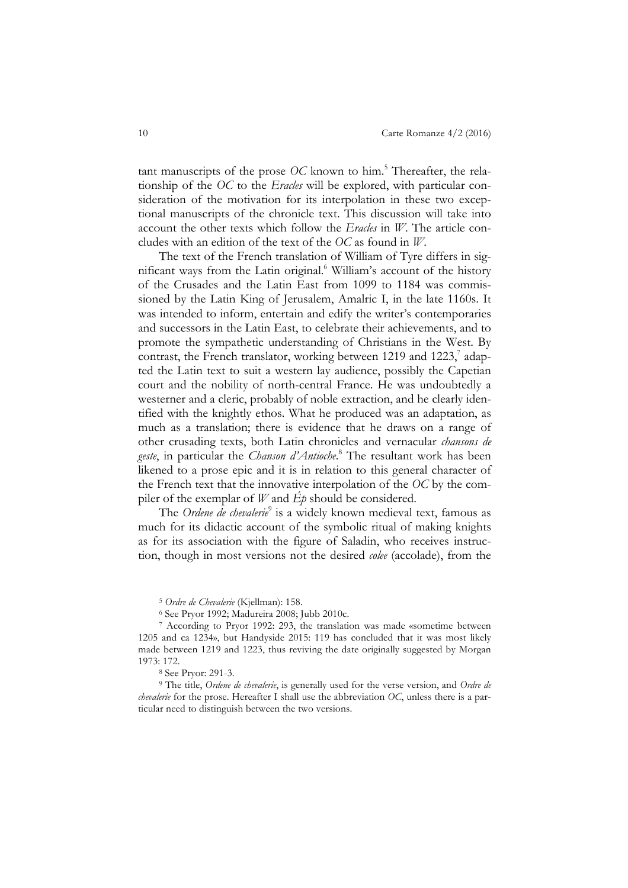tant manuscripts of the prose  $OC$  known to him.<sup>5</sup> Thereafter, the relationship of the *OC* to the *Eracles* will be explored, with particular consideration of the motivation for its interpolation in these two exceptional manuscripts of the chronicle text. This discussion will take into account the other texts which follow the *Eracles* in *W*. The article concludes with an edition of the text of the *OC* as found in *W*.

The text of the French translation of William of Tyre differs in significant ways from the Latin original.6 William's account of the history of the Crusades and the Latin East from 1099 to 1184 was commissioned by the Latin King of Jerusalem, Amalric I, in the late 1160s. It was intended to inform, entertain and edify the writer's contemporaries and successors in the Latin East, to celebrate their achievements, and to promote the sympathetic understanding of Christians in the West. By contrast, the French translator, working between 1219 and  $1223$ , adapted the Latin text to suit a western lay audience, possibly the Capetian court and the nobility of north-central France. He was undoubtedly a westerner and a cleric, probably of noble extraction, and he clearly identified with the knightly ethos. What he produced was an adaptation, as much as a translation; there is evidence that he draws on a range of other crusading texts, both Latin chronicles and vernacular *chansons de geste*, in particular the *Chanson d'Antioche*. <sup>8</sup> The resultant work has been likened to a prose epic and it is in relation to this general character of the French text that the innovative interpolation of the *OC* by the compiler of the exemplar of *W* and  $E_p$  should be considered.

The *Ordene de chevalerie*<sup>9</sup> is a widely known medieval text, famous as much for its didactic account of the symbolic ritual of making knights as for its association with the figure of Saladin, who receives instruction, though in most versions not the desired *colee* (accolade), from the

<sup>5</sup> *Ordre de Chevalerie* (Kjellman): 158.

<sup>6</sup> See Pryor 1992; Madureira 2008; Jubb 2010c.

<sup>9</sup> The title, *Ordene de chevalerie*, is generally used for the verse version, and *Ordre de chevalerie* for the prose. Hereafter I shall use the abbreviation *OC*, unless there is a particular need to distinguish between the two versions.

<sup>7</sup> According to Pryor 1992: 293, the translation was made «sometime between 1205 and ca 1234», but Handyside 2015: 119 has concluded that it was most likely made between 1219 and 1223, thus reviving the date originally suggested by Morgan 1973: 172. 8 See Pryor: 291-3.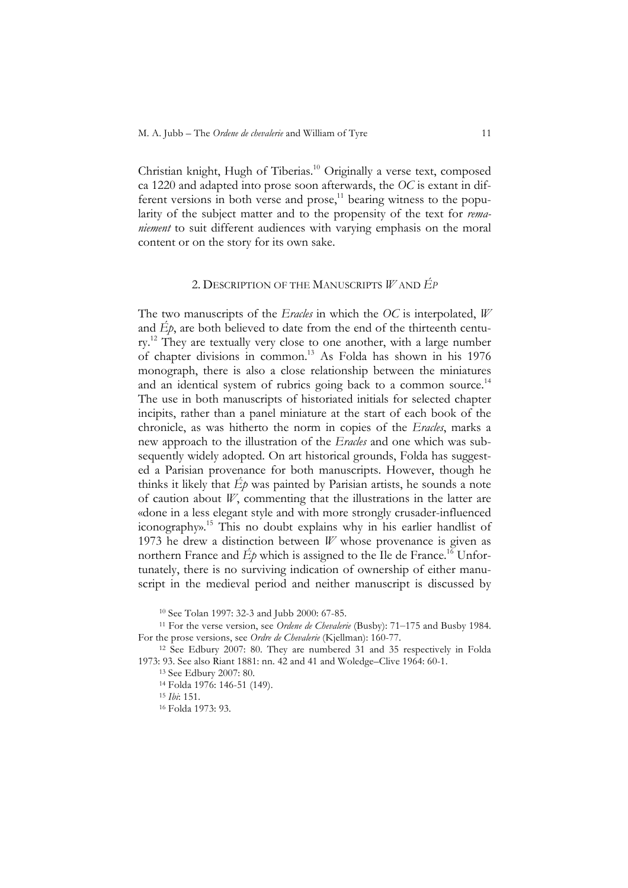Christian knight, Hugh of Tiberias.<sup>10</sup> Originally a verse text, composed ca 1220 and adapted into prose soon afterwards, the *OC* is extant in different versions in both verse and  $prose<sub>i</sub><sup>11</sup>$  bearing witness to the popularity of the subject matter and to the propensity of the text for *remaniement* to suit different audiences with varying emphasis on the moral content or on the story for its own sake.

# 2. DESCRIPTION OF THE MANUSCRIPTS *W* AND *ÉP*

The two manuscripts of the *Eracles* in which the *OC* is interpolated, *W*  and  $\acute{E}p$ , are both believed to date from the end of the thirteenth century.12 They are textually very close to one another, with a large number of chapter divisions in common.13 As Folda has shown in his 1976 monograph, there is also a close relationship between the miniatures and an identical system of rubrics going back to a common source.<sup>14</sup> The use in both manuscripts of historiated initials for selected chapter incipits, rather than a panel miniature at the start of each book of the chronicle, as was hitherto the norm in copies of the *Eracles*, marks a new approach to the illustration of the *Eracles* and one which was subsequently widely adopted. On art historical grounds, Folda has suggested a Parisian provenance for both manuscripts. However, though he thinks it likely that  $E_p$  was painted by Parisian artists, he sounds a note of caution about *W*, commenting that the illustrations in the latter are «done in a less elegant style and with more strongly crusader-influenced iconography».15 This no doubt explains why in his earlier handlist of 1973 he drew a distinction between *W* whose provenance is given as northern France and  $E_p$  which is assigned to the Ile de France.<sup>16</sup> Unfortunately, there is no surviving indication of ownership of either manuscript in the medieval period and neither manuscript is discussed by

<sup>10</sup> See Tolan 1997: 32-3 and Jubb 2000: 67-85. 11 For the verse version, see *Ordene de Chevalerie* (Busby): 71‒175 and Busby 1984. For the prose versions, see *Ordre de Chevalerie* (Kjellman): 160-77.<br><sup>12</sup> See Edbury 2007: 80. They are numbered 31 and 35 respectively in Folda

<sup>1973: 93.</sup> See also Riant 1881: nn. 42 and 41 and Woledge–Clive 1964: 60-1. 13 See Edbury 2007: 80.

<sup>14</sup> Folda 1976: 146-51 (149). 15 *Ibi*: 151.

<sup>16</sup> Folda 1973: 93.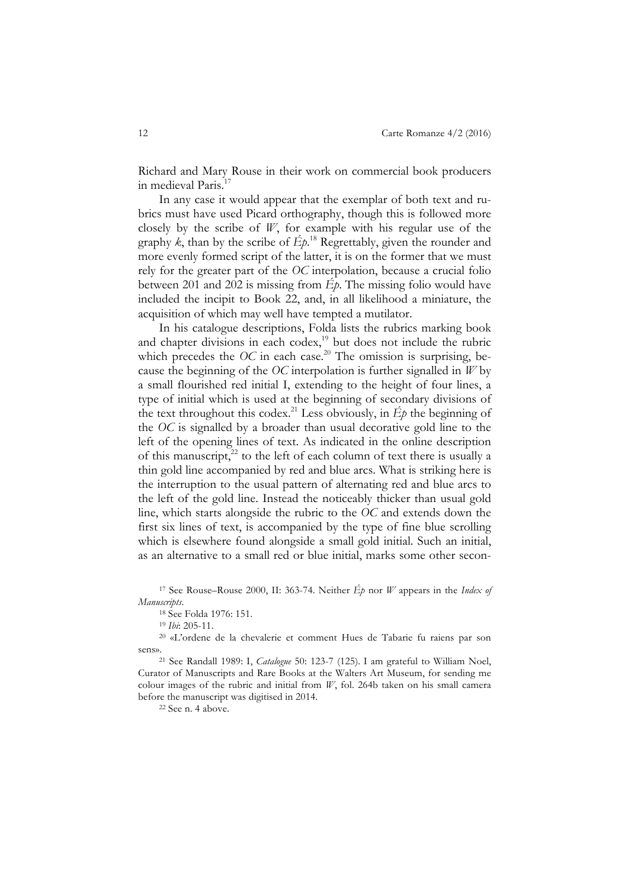Richard and Mary Rouse in their work on commercial book producers in medieval Paris.<sup>17</sup>

In any case it would appear that the exemplar of both text and rubrics must have used Picard orthography, though this is followed more closely by the scribe of *W*, for example with his regular use of the graphy *k*, than by the scribe of *Ép*. <sup>18</sup> Regrettably, given the rounder and more evenly formed script of the latter, it is on the former that we must rely for the greater part of the *OC* interpolation, because a crucial folio between 201 and 202 is missing from *Ép*. The missing folio would have included the incipit to Book 22, and, in all likelihood a miniature, the acquisition of which may well have tempted a mutilator.

In his catalogue descriptions, Folda lists the rubrics marking book and chapter divisions in each codex, $19$  but does not include the rubric which precedes the  $OC$  in each case.<sup>20</sup> The omission is surprising, because the beginning of the *OC* interpolation is further signalled in *W* by a small flourished red initial I, extending to the height of four lines, a type of initial which is used at the beginning of secondary divisions of the text throughout this codex.<sup>21</sup> Less obviously, in  $E_p$  the beginning of the *OC* is signalled by a broader than usual decorative gold line to the left of the opening lines of text. As indicated in the online description of this manuscript, $x^{22}$  to the left of each column of text there is usually a thin gold line accompanied by red and blue arcs. What is striking here is the interruption to the usual pattern of alternating red and blue arcs to the left of the gold line. Instead the noticeably thicker than usual gold line, which starts alongside the rubric to the *OC* and extends down the first six lines of text, is accompanied by the type of fine blue scrolling which is elsewhere found alongside a small gold initial. Such an initial, as an alternative to a small red or blue initial, marks some other secon-

<sup>17</sup> See Rouse–Rouse 2000, II: 363-74. Neither *Ép* nor *W* appears in the *Index of Manuscripts*.

<sup>18</sup> See Folda 1976: 151.

<sup>19</sup> *Ibi*: 205-11.

<sup>20</sup> «L'ordene de la chevalerie et comment Hues de Tabarie fu raiens par son sens».21 See Randall 1989: I, *Catalogue* 50: 123-7 (125). I am grateful to William Noel,

Curator of Manuscripts and Rare Books at the Walters Art Museum, for sending me colour images of the rubric and initial from *W*, fol. 264b taken on his small camera before the manuscript was digitised in 2014.<br><sup>22</sup> See n. 4 above.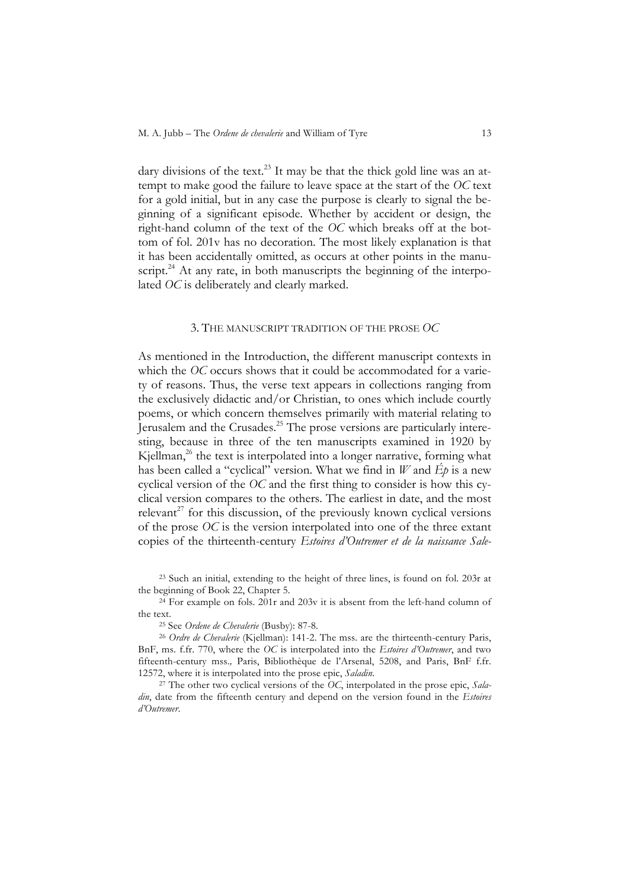dary divisions of the text.<sup>23</sup> It may be that the thick gold line was an attempt to make good the failure to leave space at the start of the *OC* text for a gold initial, but in any case the purpose is clearly to signal the beginning of a significant episode. Whether by accident or design, the right-hand column of the text of the *OC* which breaks off at the bottom of fol. 201v has no decoration. The most likely explanation is that it has been accidentally omitted, as occurs at other points in the manuscript.<sup>24</sup> At any rate, in both manuscripts the beginning of the interpolated *OC* is deliberately and clearly marked.

## 3. THE MANUSCRIPT TRADITION OF THE PROSE *OC*

As mentioned in the Introduction, the different manuscript contexts in which the *OC* occurs shows that it could be accommodated for a variety of reasons. Thus, the verse text appears in collections ranging from the exclusively didactic and/or Christian, to ones which include courtly poems, or which concern themselves primarily with material relating to Jerusalem and the Crusades.25 The prose versions are particularly interesting, because in three of the ten manuscripts examined in 1920 by Kjellman,<sup>26</sup> the text is interpolated into a longer narrative, forming what has been called a "cyclical" version. What we find in *W* and *Ép* is a new cyclical version of the *OC* and the first thing to consider is how this cyclical version compares to the others. The earliest in date, and the most relevant<sup>27</sup> for this discussion, of the previously known cyclical versions of the prose *OC* is the version interpolated into one of the three extant copies of the thirteenth-century *Estoires d'Outremer et de la naissance Sale-*

<sup>23</sup> Such an initial, extending to the height of three lines, is found on fol. 203r at the beginning of Book 22, Chapter 5.

<sup>24</sup> For example on fols. 201r and 203v it is absent from the left-hand column of the text. 25 See *Ordene de Chevalerie* (Busby): 87-8. 26 *Ordre de Chevalerie* (Kjellman): 141-2. The mss. are the thirteenth-century Paris,

BnF, ms. f.fr. 770, where the *OC* is interpolated into the *Estoires d'Outremer*, and two fifteenth-century mss.*,* Paris, Bibliothèque de l'Arsenal, 5208, and Paris, BnF f.fr. 12572, where it is interpolated into the prose epic, *Saladin*. 27 The other two cyclical versions of the *OC*, interpolated in the prose epic, *Sala-*

*din*, date from the fifteenth century and depend on the version found in the *Estoires d'Outremer*.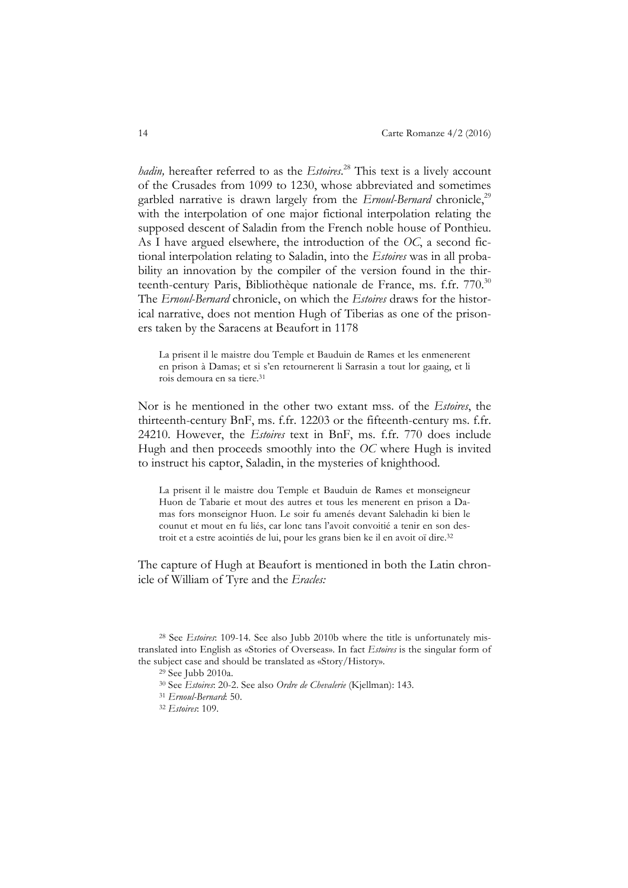*hadin,* hereafter referred to as the *Estoires*. <sup>28</sup> This text is a lively account of the Crusades from 1099 to 1230, whose abbreviated and sometimes garbled narrative is drawn largely from the *Ernoul-Bernard* chronicle,<sup>29</sup> with the interpolation of one major fictional interpolation relating the supposed descent of Saladin from the French noble house of Ponthieu. As I have argued elsewhere, the introduction of the *OC*, a second fictional interpolation relating to Saladin, into the *Estoires* was in all probability an innovation by the compiler of the version found in the thirteenth-century Paris, Bibliothèque nationale de France, ms. f.fr. 770.<sup>30</sup> The *Ernoul-Bernard* chronicle, on which the *Estoires* draws for the historical narrative, does not mention Hugh of Tiberias as one of the prisoners taken by the Saracens at Beaufort in 1178

La prisent il le maistre dou Temple et Bauduin de Rames et les enmenerent en prison à Damas; et si s'en retournerent li Sarrasin a tout lor gaaing, et li rois demoura en sa tiere.31

Nor is he mentioned in the other two extant mss. of the *Estoires*, the thirteenth-century BnF, ms. f.fr. 12203 or the fifteenth-century ms. f.fr. 24210. However, the *Estoires* text in BnF, ms. f.fr. 770 does include Hugh and then proceeds smoothly into the *OC* where Hugh is invited to instruct his captor, Saladin, in the mysteries of knighthood.

La prisent il le maistre dou Temple et Bauduin de Rames et monseigneur Huon de Tabarie et mout des autres et tous les menerent en prison a Damas fors monseignor Huon. Le soir fu amenés devant Salehadin ki bien le counut et mout en fu liés, car lonc tans l'avoit convoitié a tenir en son destroit et a estre acointiés de lui, pour les grans bien ke il en avoit oï dire.32

The capture of Hugh at Beaufort is mentioned in both the Latin chronicle of William of Tyre and the *Eracles:* 

<sup>28</sup> See *Estoires*: 109-14. See also Jubb 2010b where the title is unfortunately mistranslated into English as «Stories of Overseas». In fact *Estoires* is the singular form of the subject case and should be translated as «Story/History».

<sup>29</sup> See Jubb 2010a.

<sup>30</sup> See *Estoires*: 20-2. See also *Ordre de Chevalerie* (Kjellman): 143.

<sup>31</sup> *Ernoul-Bernard*: 50.

<sup>32</sup> *Estoires*: 109.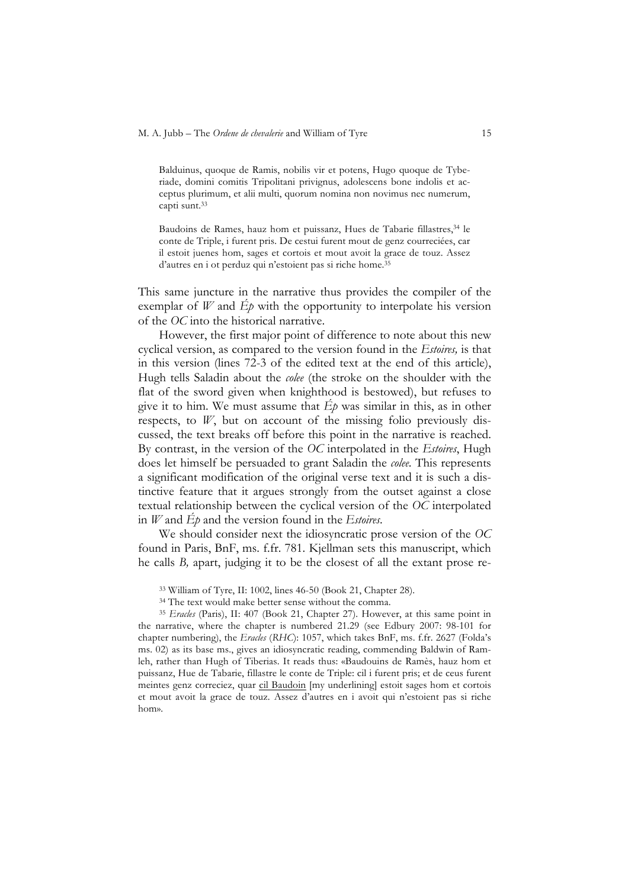Balduinus, quoque de Ramis, nobilis vir et potens, Hugo quoque de Tyberiade, domini comitis Tripolitani privignus, adolescens bone indolis et acceptus plurimum, et alii multi, quorum nomina non novimus nec numerum, capti sunt.<sup>33</sup>

Baudoins de Rames, hauz hom et puissanz, Hues de Tabarie fillastres,<sup>34</sup> le conte de Triple, i furent pris. De cestui furent mout de genz courreciées, car il estoit juenes hom, sages et cortois et mout avoit la grace de touz. Assez d'autres en i ot perduz qui n'estoient pas si riche home.35

This same juncture in the narrative thus provides the compiler of the exemplar of *W* and  $E_p$  with the opportunity to interpolate his version of the *OC* into the historical narrative.

However, the first major point of difference to note about this new cyclical version, as compared to the version found in the *Estoires,* is that in this version (lines 72-3 of the edited text at the end of this article), Hugh tells Saladin about the *colee* (the stroke on the shoulder with the flat of the sword given when knighthood is bestowed), but refuses to give it to him. We must assume that *Ép* was similar in this, as in other respects, to *W*, but on account of the missing folio previously discussed, the text breaks off before this point in the narrative is reached. By contrast, in the version of the *OC* interpolated in the *Estoires*, Hugh does let himself be persuaded to grant Saladin the *colee*. This represents a significant modification of the original verse text and it is such a distinctive feature that it argues strongly from the outset against a close textual relationship between the cyclical version of the *OC* interpolated in *W* and *Ép* and the version found in the *Estoires*.

We should consider next the idiosyncratic prose version of the *OC* found in Paris, BnF, ms. f.fr. 781. Kjellman sets this manuscript, which he calls *B,* apart, judging it to be the closest of all the extant prose re-

<sup>33</sup> William of Tyre, II: 1002, lines 46-50 (Book 21, Chapter 28).<br><sup>34</sup> The text would make better sense without the comma.

<sup>35</sup> *Eracles* (Paris), II: 407 (Book 21, Chapter 27). However, at this same point in the narrative, where the chapter is numbered 21.29 (see Edbury 2007: 98-101 for chapter numbering), the *Eracles* (*RHC*): 1057, which takes BnF, ms. f.fr. 2627 (Folda's ms. 02) as its base ms., gives an idiosyncratic reading, commending Baldwin of Ramleh, rather than Hugh of Tiberias. It reads thus: «Baudouins de Ramès, hauz hom et puissanz, Hue de Tabarie, fillastre le conte de Triple: cil i furent pris; et de ceus furent meintes genz correciez, quar cil Baudoin [my underlining] estoit sages hom et cortois et mout avoit la grace de touz. Assez d'autres en i avoit qui n'estoient pas si riche hom».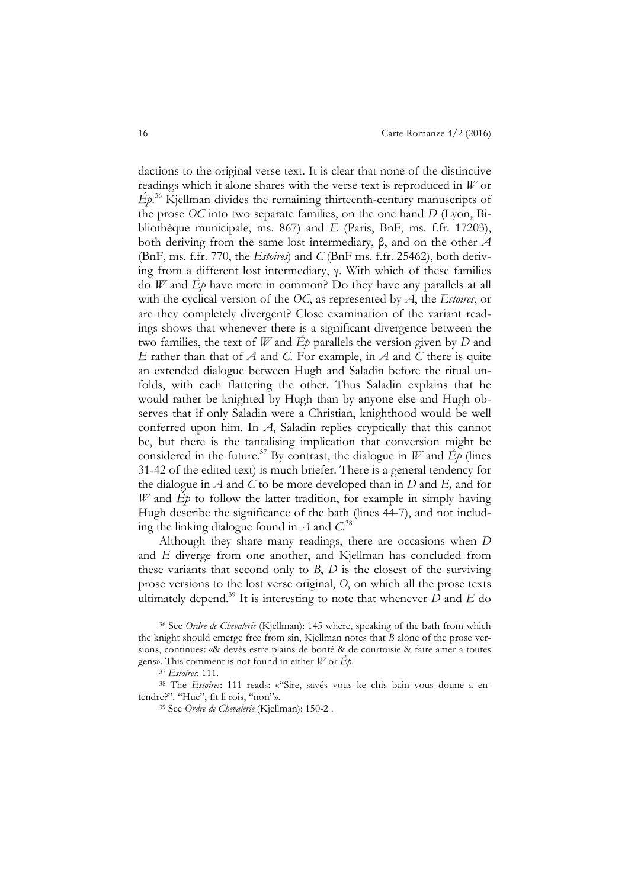dactions to the original verse text. It is clear that none of the distinctive readings which it alone shares with the verse text is reproduced in *W* or *Ép*. <sup>36</sup> Kjellman divides the remaining thirteenth-century manuscripts of the prose *OC* into two separate families, on the one hand *D* (Lyon, Bibliothèque municipale, ms. 867) and *E* (Paris, BnF, ms. f.fr. 17203), both deriving from the same lost intermediary, β, and on the other *A* (BnF, ms. f.fr. 770, the *Estoires*) and *C* (BnF ms. f.fr. 25462), both deriving from a different lost intermediary, γ. With which of these families do *W* and *Ép* have more in common? Do they have any parallels at all with the cyclical version of the *OC*, as represented by *A*, the *Estoires*, or are they completely divergent? Close examination of the variant readings shows that whenever there is a significant divergence between the two families, the text of *W* and *Ép* parallels the version given by *D* and *E* rather than that of *A* and *C.* For example, in *A* and *C* there is quite an extended dialogue between Hugh and Saladin before the ritual unfolds, with each flattering the other. Thus Saladin explains that he would rather be knighted by Hugh than by anyone else and Hugh observes that if only Saladin were a Christian, knighthood would be well conferred upon him. In *A*, Saladin replies cryptically that this cannot be, but there is the tantalising implication that conversion might be considered in the future.<sup>37</sup> By contrast, the dialogue in *W* and  $E_p$  (lines 31-42 of the edited text) is much briefer. There is a general tendency for the dialogue in *A* and *C* to be more developed than in *D* and *E,* and for *W* and *Ép* to follow the latter tradition, for example in simply having Hugh describe the significance of the bath (lines 44-7), and not including the linking dialogue found in *A* and *C*. 38

Although they share many readings, there are occasions when *D* and *E* diverge from one another, and Kjellman has concluded from these variants that second only to *B*, *D* is the closest of the surviving prose versions to the lost verse original, *O*, on which all the prose texts ultimately depend.<sup>39</sup> It is interesting to note that whenever  $D$  and  $E$  do

<sup>36</sup> See *Ordre de Chevalerie* (Kjellman): 145 where, speaking of the bath from which the knight should emerge free from sin, Kjellman notes that *B* alone of the prose versions, continues: «& devés estre plains de bonté & de courtoisie & faire amer a toutes gens». This comment is not found in either *W* or *Ép*. 37 *Estoires*: 111.

<sup>38</sup> The *Estoires*: 111 reads: «"Sire, savés vous ke chis bain vous doune a entendre?". "Hue", fit li rois, "non"».

<sup>39</sup> See *Ordre de Chevalerie* (Kjellman): 150-2 .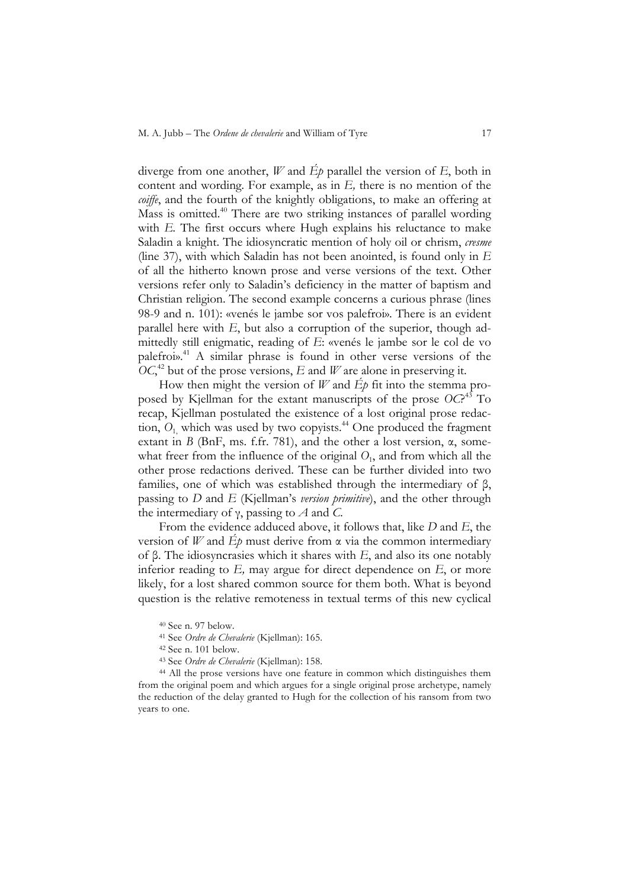diverge from one another, *W* and  $E_p$  parallel the version of *E*, both in content and wording*.* For example, as in *E,* there is no mention of the *coiffe*, and the fourth of the knightly obligations, to make an offering at Mass is omitted.<sup>40</sup> There are two striking instances of parallel wording with *E.* The first occurs where Hugh explains his reluctance to make Saladin a knight. The idiosyncratic mention of holy oil or chrism, *cresme* (line 37), with which Saladin has not been anointed, is found only in *E* of all the hitherto known prose and verse versions of the text. Other versions refer only to Saladin's deficiency in the matter of baptism and Christian religion. The second example concerns a curious phrase (lines 98-9 and n. 101): «venés le jambe sor vos palefroi». There is an evident parallel here with *E*, but also a corruption of the superior, though admittedly still enigmatic, reading of *E*: «venés le jambe sor le col de vo palefroi». <sup>41</sup> A similar phrase is found in other verse versions of the  $OC<sup>42</sup>$  but of the prose versions, *E* and *W* are alone in preserving it.

How then might the version of *W* and *Ép* fit into the stemma proposed by Kjellman for the extant manuscripts of the prose *OC*? <sup>43</sup> To recap, Kjellman postulated the existence of a lost original prose redaction,  $O_1$  which was used by two copyists.<sup>44</sup> One produced the fragment extant in *B* (BnF, ms. f.fr. 781), and the other a lost version, α, somewhat freer from the influence of the original  $O<sub>1</sub>$ , and from which all the other prose redactions derived. These can be further divided into two families, one of which was established through the intermediary of β, passing to *D* and *E* (Kjellman's *version primitive*), and the other through the intermediary of γ, passing to *A* and *C.*

From the evidence adduced above, it follows that, like *D* and *E*, the version of *W* and *Ép* must derive from α via the common intermediary of β. The idiosyncrasies which it shares with *E*, and also its one notably inferior reading to *E,* may argue for direct dependence on *E*, or more likely, for a lost shared common source for them both. What is beyond question is the relative remoteness in textual terms of this new cyclical

<sup>43</sup> See *Ordre de Chevalerie* (Kjellman): 158.

<sup>44</sup> All the prose versions have one feature in common which distinguishes them from the original poem and which argues for a single original prose archetype, namely the reduction of the delay granted to Hugh for the collection of his ransom from two years to one.

<sup>40</sup> See n. 97 below.

<sup>41</sup> See *Ordre de Chevalerie* (Kjellman): 165.

<sup>42</sup> See n. 101 below.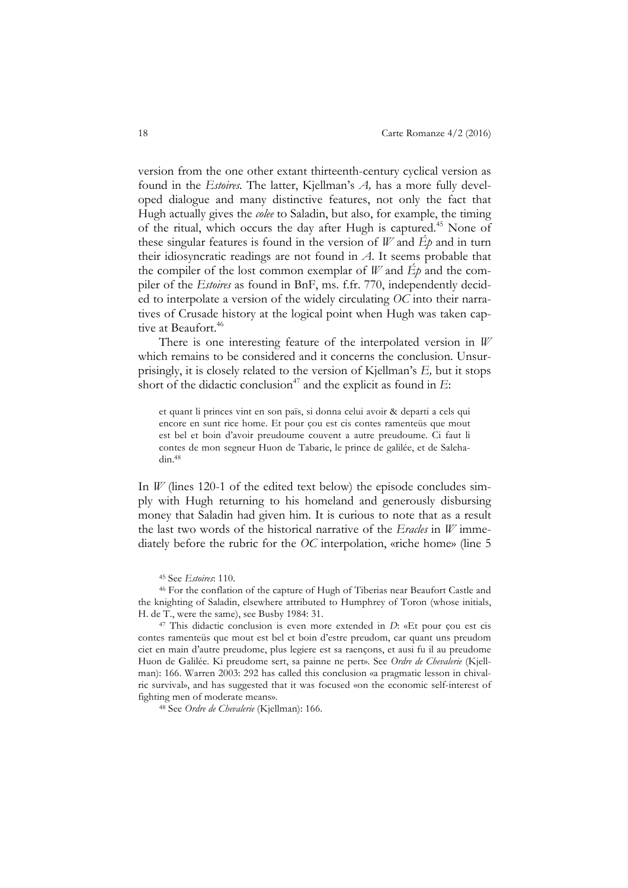version from the one other extant thirteenth-century cyclical version as found in the *Estoires.* The latter, Kjellman's *A,* has a more fully developed dialogue and many distinctive features, not only the fact that Hugh actually gives the *colee* to Saladin, but also, for example, the timing of the ritual, which occurs the day after Hugh is captured.<sup>45</sup> None of these singular features is found in the version of *W* and *Ép* and in turn their idiosyncratic readings are not found in *A*. It seems probable that the compiler of the lost common exemplar of *W* and  $E_p$  and the compiler of the *Estoires* as found in BnF, ms. f.fr. 770, independently decided to interpolate a version of the widely circulating *OC* into their narratives of Crusade history at the logical point when Hugh was taken captive at Beaufort.<sup>46</sup>

There is one interesting feature of the interpolated version in *W*  which remains to be considered and it concerns the conclusion. Unsurprisingly, it is closely related to the version of Kjellman's *E,* but it stops short of the didactic conclusion<sup>47</sup> and the explicit as found in  $E$ :

et quant li princes vint en son païs, si donna celui avoir & departi a cels qui encore en sunt rice home. Et pour çou est cis contes ramenteüs que mout est bel et boin d'avoir preudoume couvent a autre preudoume. Ci faut li contes de mon segneur Huon de Tabarie, le prince de galilée, et de Salehadin.48

In  $W$  (lines 120-1 of the edited text below) the episode concludes simply with Hugh returning to his homeland and generously disbursing money that Saladin had given him. It is curious to note that as a result the last two words of the historical narrative of the *Eracles* in *W* immediately before the rubric for the *OC* interpolation, «riche home» (line 5

<sup>45</sup> See *Estoires*: 110.

contes ramenteüs que mout est bel et boin d'estre preudom, car quant uns preudom ciet en main d'autre preudome, plus legiere est sa raençons, et ausi fu il au preudome Huon de Galilée. Ki preudome sert, sa painne ne pert». See *Ordre de Chevalerie* (Kjellman): 166. Warren 2003: 292 has called this conclusion «a pragmatic lesson in chivalric survival», and has suggested that it was focused «on the economic self-interest of fighting men of moderate means».

<sup>48</sup> See *Ordre de Chevalerie* (Kjellman): 166.

<sup>46</sup> For the conflation of the capture of Hugh of Tiberias near Beaufort Castle and the knighting of Saladin, elsewhere attributed to Humphrey of Toron (whose initials, H. de T., were the same), see Busby 1984: 31. 47 This didactic conclusion is even more extended in *D*: «Et pour çou est cis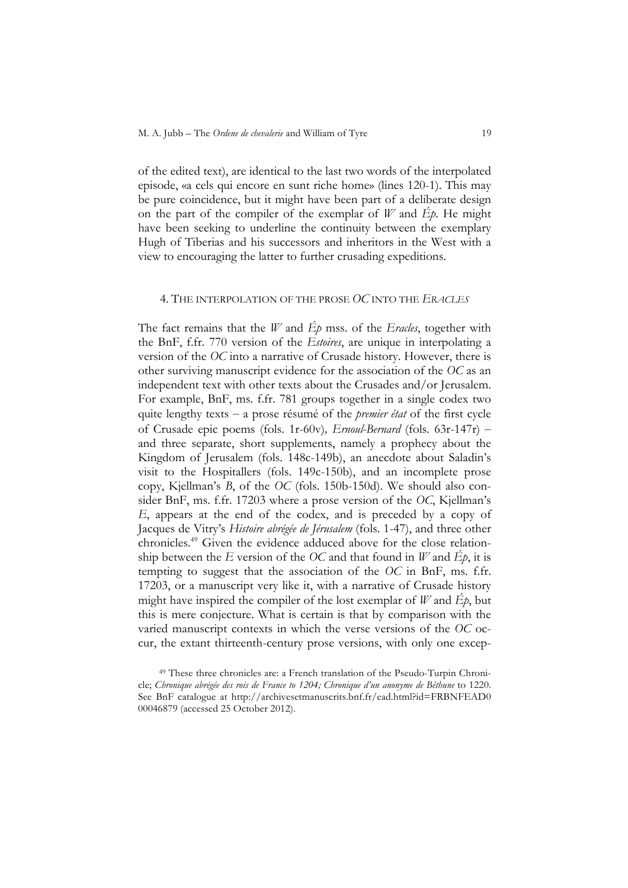of the edited text), are identical to the last two words of the interpolated episode, «a cels qui encore en sunt riche home» (lines 120-1). This may be pure coincidence, but it might have been part of a deliberate design on the part of the compiler of the exemplar of *W* and  $\acute{E}p$ . He might have been seeking to underline the continuity between the exemplary Hugh of Tiberias and his successors and inheritors in the West with a view to encouraging the latter to further crusading expeditions.

# 4. THE INTERPOLATION OF THE PROSE *OC* INTO THE *ERACLES*

The fact remains that the *W* and *Ép* mss. of the *Eracles*, together with the BnF, f.fr. 770 version of the *Estoires*, are unique in interpolating a version of the *OC* into a narrative of Crusade history. However, there is other surviving manuscript evidence for the association of the *OC* as an independent text with other texts about the Crusades and/or Jerusalem. For example, BnF, ms. f.fr. 781 groups together in a single codex two quite lengthy texts ‒ a prose résumé of the *premier état* of the first cycle of Crusade epic poems (fols. 1r-60v)*, Ernoul-Bernard* (fols. 63r-147r) ‒ and three separate, short supplements, namely a prophecy about the Kingdom of Jerusalem (fols. 148c-149b), an anecdote about Saladin's visit to the Hospitallers (fols. 149c-150b), and an incomplete prose copy, Kjellman's *B*, of the *OC* (fols. 150b-150d). We should also consider BnF, ms. f.fr. 17203 where a prose version of the *OC*, Kjellman's *E*, appears at the end of the codex, and is preceded by a copy of Jacques de Vitry's *Histoire abrégée de Jérusalem* (fols. 1-47), and three other chronicles.49 Given the evidence adduced above for the close relationship between the *E* version of the *OC* and that found in *W* and *Ep*, it is tempting to suggest that the association of the *OC* in BnF, ms. f.fr. 17203, or a manuscript very like it, with a narrative of Crusade history might have inspired the compiler of the lost exemplar of *W* and *Ép*, but this is mere conjecture. What is certain is that by comparison with the varied manuscript contexts in which the verse versions of the *OC* occur, the extant thirteenth-century prose versions, with only one excep-

<sup>49</sup> These three chronicles are: a French translation of the Pseudo-Turpin Chronicle; *Chronique abrégée des rois de France to 1204; Chronique d'un anonyme de Béthune* to 1220. See BnF catalogue at http://archivesetmanuscrits.bnf.fr/ead.html?id=FRBNFEAD0 00046879 (accessed 25 October 2012).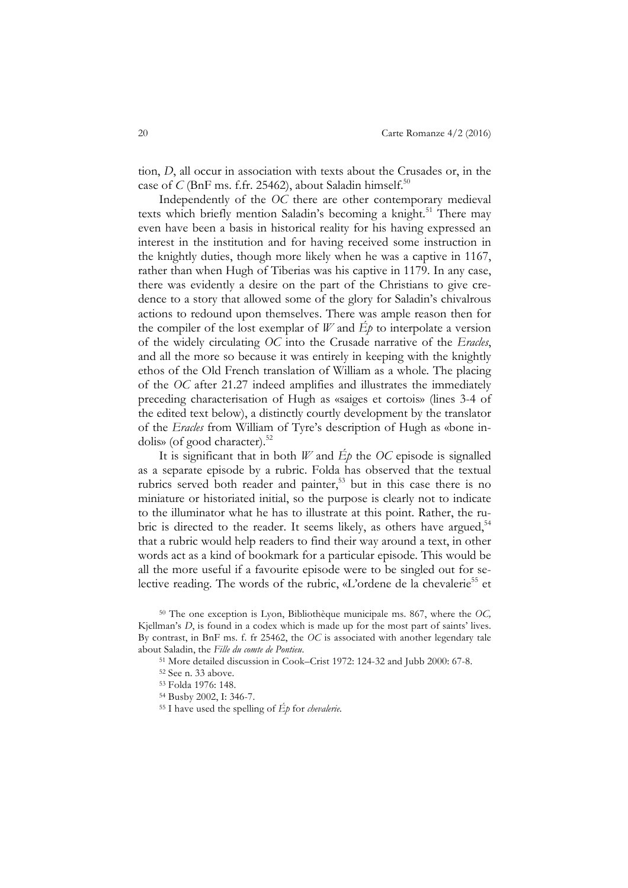tion, *D*, all occur in association with texts about the Crusades or, in the case of  $C$  (BnF ms. f.fr. 25462), about Saladin himself.<sup>50</sup>

Independently of the *OC* there are other contemporary medieval texts which briefly mention Saladin's becoming a knight.<sup>51</sup> There may even have been a basis in historical reality for his having expressed an interest in the institution and for having received some instruction in the knightly duties, though more likely when he was a captive in 1167, rather than when Hugh of Tiberias was his captive in 1179. In any case, there was evidently a desire on the part of the Christians to give credence to a story that allowed some of the glory for Saladin's chivalrous actions to redound upon themselves. There was ample reason then for the compiler of the lost exemplar of *W* and  $E_p$  to interpolate a version of the widely circulating *OC* into the Crusade narrative of the *Eracles*, and all the more so because it was entirely in keeping with the knightly ethos of the Old French translation of William as a whole*.* The placing of the *OC* after 21.27 indeed amplifies and illustrates the immediately preceding characterisation of Hugh as «saiges et cortois» (lines 3-4 of the edited text below), a distinctly courtly development by the translator of the *Eracles* from William of Tyre's description of Hugh as «bone indolis» (of good character). $52$ 

It is significant that in both  $W$  and  $E$ <sup>*p*</sup> the *OC* episode is signalled as a separate episode by a rubric. Folda has observed that the textual rubrics served both reader and painter, $53$  but in this case there is no miniature or historiated initial, so the purpose is clearly not to indicate to the illuminator what he has to illustrate at this point. Rather, the rubric is directed to the reader. It seems likely, as others have argued,<sup>54</sup> that a rubric would help readers to find their way around a text, in other words act as a kind of bookmark for a particular episode. This would be all the more useful if a favourite episode were to be singled out for selective reading. The words of the rubric, «L'ordene de la chevalerie<sup>55</sup> et

<sup>50</sup> The one exception is Lyon, Bibliothèque municipale ms. 867, where the *OC,*  Kjellman's *D*, is found in a codex which is made up for the most part of saints' lives. By contrast, in BnF ms. f. fr 25462, the *OC* is associated with another legendary tale about Saladin, the *Fille du comte de Pontieu*.

<sup>51</sup> More detailed discussion in Cook–Crist 1972: 124-32 and Jubb 2000: 67-8.

<sup>52</sup> See n. 33 above.

<sup>53</sup> Folda 1976: 148.

<sup>54</sup> Busby 2002, I: 346-7.

<sup>55</sup> I have used the spelling of *Ép* for *chevalerie*.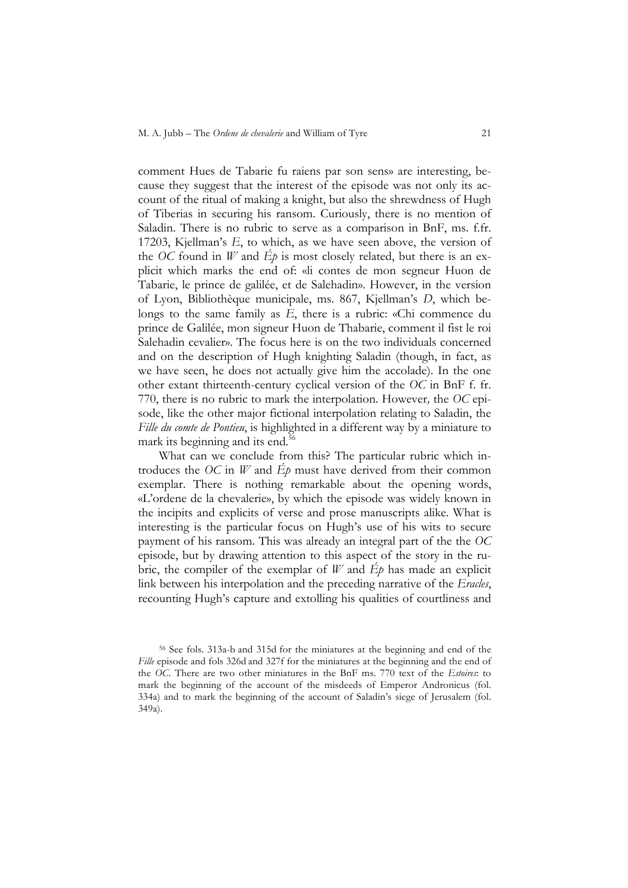comment Hues de Tabarie fu raiens par son sens» are interesting, because they suggest that the interest of the episode was not only its account of the ritual of making a knight, but also the shrewdness of Hugh of Tiberias in securing his ransom. Curiously, there is no mention of Saladin. There is no rubric to serve as a comparison in BnF, ms. f.fr. 17203, Kjellman's *E*, to which, as we have seen above, the version of the *OC* found in *W* and  $E_p$  is most closely related, but there is an explicit which marks the end of: «li contes de mon segneur Huon de Tabarie, le prince de galilée, et de Salehadin». However, in the version of Lyon, Bibliothèque municipale, ms. 867, Kjellman's *D*, which belongs to the same family as *E*, there is a rubric: «Chi commence du prince de Galilée, mon signeur Huon de Thabarie, comment il fist le roi Salehadin cevalier». The focus here is on the two individuals concerned and on the description of Hugh knighting Saladin (though, in fact, as we have seen, he does not actually give him the accolade). In the one other extant thirteenth-century cyclical version of the *OC* in BnF f. fr. 770, there is no rubric to mark the interpolation. However*,* the *OC* episode, like the other major fictional interpolation relating to Saladin, the *Fille du comte de Pontieu*, is highlighted in a different way by a miniature to mark its beginning and its end.<sup>56</sup>

What can we conclude from this? The particular rubric which introduces the *OC* in *W* and  $E_p$  must have derived from their common exemplar. There is nothing remarkable about the opening words, «L'ordene de la chevalerie», by which the episode was widely known in the incipits and explicits of verse and prose manuscripts alike. What is interesting is the particular focus on Hugh's use of his wits to secure payment of his ransom. This was already an integral part of the the *OC*  episode, but by drawing attention to this aspect of the story in the rubric, the compiler of the exemplar of *W* and *Ép* has made an explicit link between his interpolation and the preceding narrative of the *Eracles*, recounting Hugh's capture and extolling his qualities of courtliness and

<sup>56</sup> See fols. 313a-b and 315d for the miniatures at the beginning and end of the *Fille* episode and fols 326d and 327f for the miniatures at the beginning and the end of the *OC*. There are two other miniatures in the BnF ms. 770 text of the *Estoires*: to mark the beginning of the account of the misdeeds of Emperor Andronicus (fol. 334a) and to mark the beginning of the account of Saladin's siege of Jerusalem (fol. 349a).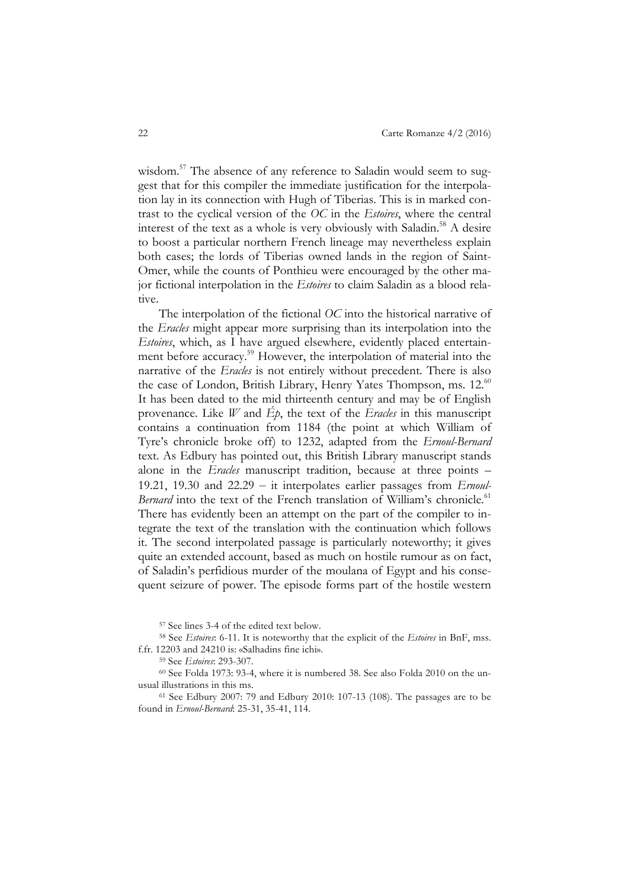wisdom.<sup>57</sup> The absence of any reference to Saladin would seem to suggest that for this compiler the immediate justification for the interpolation lay in its connection with Hugh of Tiberias. This is in marked contrast to the cyclical version of the *OC* in the *Estoires*, where the central interest of the text as a whole is very obviously with Saladin.<sup>58</sup> A desire to boost a particular northern French lineage may nevertheless explain both cases; the lords of Tiberias owned lands in the region of Saint-Omer, while the counts of Ponthieu were encouraged by the other major fictional interpolation in the *Estoires* to claim Saladin as a blood relative.

The interpolation of the fictional *OC* into the historical narrative of the *Eracles* might appear more surprising than its interpolation into the *Estoires*, which, as I have argued elsewhere, evidently placed entertainment before accuracy.<sup>59</sup> However, the interpolation of material into the narrative of the *Eracles* is not entirely without precedent. There is also the case of London, British Library, Henry Yates Thompson, ms. 12.<sup>60</sup> It has been dated to the mid thirteenth century and may be of English provenance. Like *W* and *Ép*, the text of the *Eracles* in this manuscript contains a continuation from 1184 (the point at which William of Tyre's chronicle broke off) to 1232, adapted from the *Ernoul-Bernard* text. As Edbury has pointed out, this British Library manuscript stands alone in the *Eracles* manuscript tradition, because at three points – 19.21, 19.30 and 22.29 ‒ it interpolates earlier passages from *Ernoul-Bernard* into the text of the French translation of William's chronicle.<sup>61</sup> There has evidently been an attempt on the part of the compiler to integrate the text of the translation with the continuation which follows it. The second interpolated passage is particularly noteworthy; it gives quite an extended account, based as much on hostile rumour as on fact, of Saladin's perfidious murder of the moulana of Egypt and his consequent seizure of power. The episode forms part of the hostile western

<sup>57</sup> See lines 3-4 of the edited text below.

<sup>58</sup> See *Estoires*: 6-11. It is noteworthy that the explicit of the *Estoires* in BnF, mss. f.fr. 12203 and 24210 is: «Salhadins fine ichi».

<sup>59</sup> See *Estoires*: 293-307.

<sup>60</sup> See Folda 1973: 93-4, where it is numbered 38. See also Folda 2010 on the unusual illustrations in this ms.

 $61$  See Edbury 2007: 79 and Edbury 2010: 107-13 (108). The passages are to be found in *Ernoul-Bernard*: 25-31, 35-41, 114.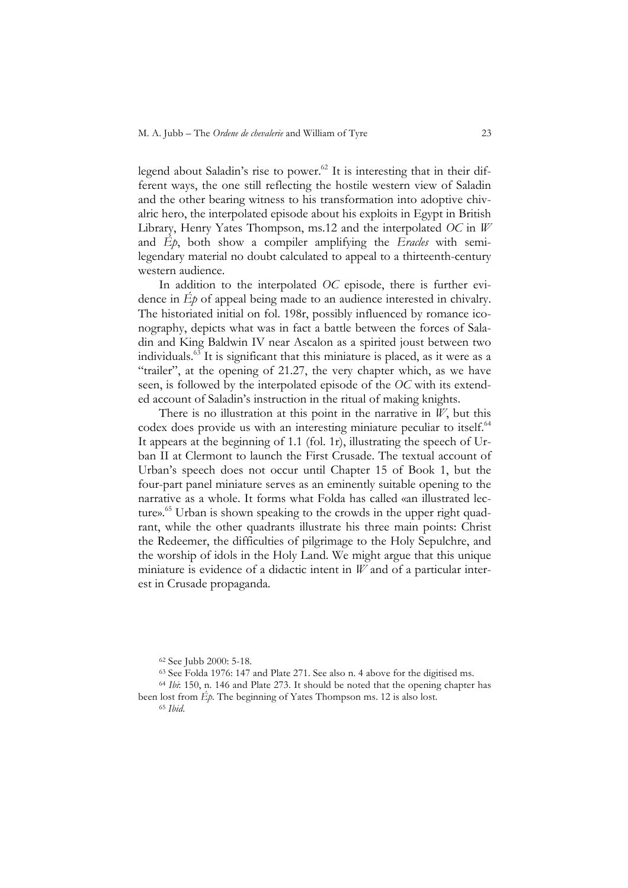legend about Saladin's rise to power.<sup>62</sup> It is interesting that in their different ways, the one still reflecting the hostile western view of Saladin and the other bearing witness to his transformation into adoptive chivalric hero, the interpolated episode about his exploits in Egypt in British Library, Henry Yates Thompson, ms.12 and the interpolated *OC* in *W*  and *Ép*, both show a compiler amplifying the *Eracles* with semilegendary material no doubt calculated to appeal to a thirteenth-century western audience.

In addition to the interpolated *OC* episode, there is further evidence in *Ép* of appeal being made to an audience interested in chivalry. The historiated initial on fol. 198r, possibly influenced by romance iconography, depicts what was in fact a battle between the forces of Saladin and King Baldwin IV near Ascalon as a spirited joust between two individuals. $^{63}$  It is significant that this miniature is placed, as it were as a "trailer", at the opening of 21.27, the very chapter which, as we have seen, is followed by the interpolated episode of the *OC* with its extended account of Saladin's instruction in the ritual of making knights.

There is no illustration at this point in the narrative in  $W$ , but this codex does provide us with an interesting miniature peculiar to itself.<sup>64</sup> It appears at the beginning of 1.1 (fol. 1r), illustrating the speech of Urban II at Clermont to launch the First Crusade. The textual account of Urban's speech does not occur until Chapter 15 of Book 1, but the four-part panel miniature serves as an eminently suitable opening to the narrative as a whole. It forms what Folda has called «an illustrated lecture».<sup>65</sup> Urban is shown speaking to the crowds in the upper right quadrant, while the other quadrants illustrate his three main points: Christ the Redeemer, the difficulties of pilgrimage to the Holy Sepulchre, and the worship of idols in the Holy Land. We might argue that this unique miniature is evidence of a didactic intent in *W* and of a particular interest in Crusade propaganda*.*

<sup>63</sup> See Folda 1976: 147 and Plate 271. See also n. 4 above for the digitised ms. 64 *Ibi*: 150, n. 146 and Plate 273. It should be noted that the opening chapter has been lost from *Ép*. The beginning of Yates Thompson ms. 12 is also lost. <sup>65</sup> *Ibid.* 

<sup>62</sup> See Jubb 2000: 5-18.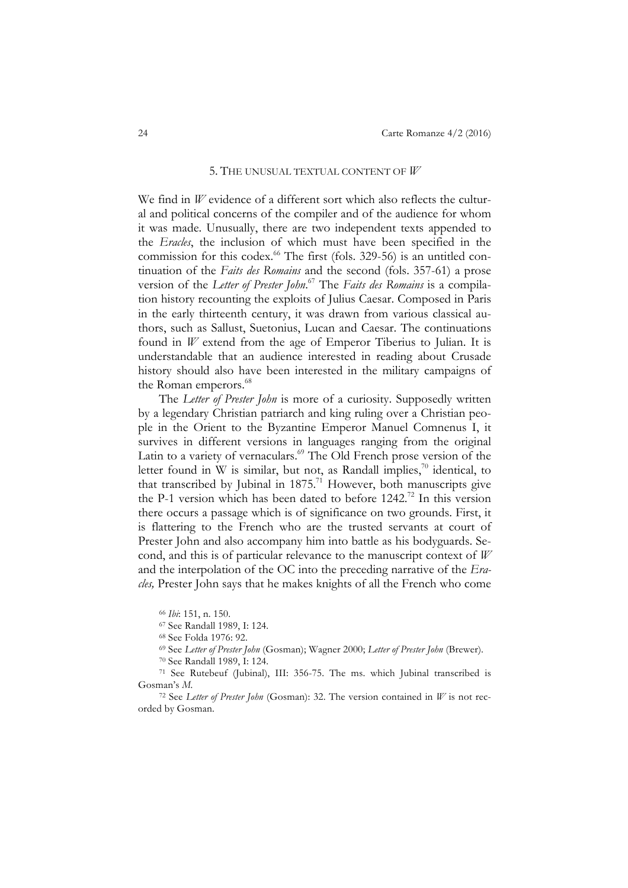#### 5. THE UNUSUAL TEXTUAL CONTENT OF *W*

We find in *W* evidence of a different sort which also reflects the cultural and political concerns of the compiler and of the audience for whom it was made. Unusually, there are two independent texts appended to the *Eracles*, the inclusion of which must have been specified in the commission for this codex.<sup>66</sup> The first (fols. 329-56) is an untitled continuation of the *Faits des Romains* and the second (fols. 357-61) a prose version of the *Letter of Prester John*. <sup>67</sup> The *Faits des Romains* is a compilation history recounting the exploits of Julius Caesar. Composed in Paris in the early thirteenth century, it was drawn from various classical authors, such as Sallust, Suetonius, Lucan and Caesar. The continuations found in *W* extend from the age of Emperor Tiberius to Julian. It is understandable that an audience interested in reading about Crusade history should also have been interested in the military campaigns of the Roman emperors.<sup>68</sup>

The *Letter of Prester John* is more of a curiosity. Supposedly written by a legendary Christian patriarch and king ruling over a Christian people in the Orient to the Byzantine Emperor Manuel Comnenus I, it survives in different versions in languages ranging from the original Latin to a variety of vernaculars.<sup>69</sup> The Old French prose version of the letter found in W is similar, but not, as Randall implies, $^{70}$  identical, to that transcribed by Jubinal in  $1875$ .<sup>71</sup> However, both manuscripts give the P-1 version which has been dated to before  $1242<sup>72</sup>$  In this version there occurs a passage which is of significance on two grounds. First, it is flattering to the French who are the trusted servants at court of Prester John and also accompany him into battle as his bodyguards. Second, and this is of particular relevance to the manuscript context of *W*  and the interpolation of the OC into the preceding narrative of the *Eracles,* Prester John says that he makes knights of all the French who come

<sup>66</sup> *Ibi*: 151, n. 150. 67 See Randall 1989, I: 124.

<sup>68</sup> See Folda 1976: 92.

<sup>69</sup> See *Letter of Prester John* (Gosman); Wagner 2000; *Letter of Prester John* (Brewer).

<sup>70</sup> See Randall 1989, I: 124.

<sup>71</sup> See Rutebeuf (Jubinal), III: 356-75. The ms. which Jubinal transcribed is Gosman's *M.*

<sup>72</sup> See *Letter of Prester John* (Gosman): 32. The version contained in *W* is not recorded by Gosman.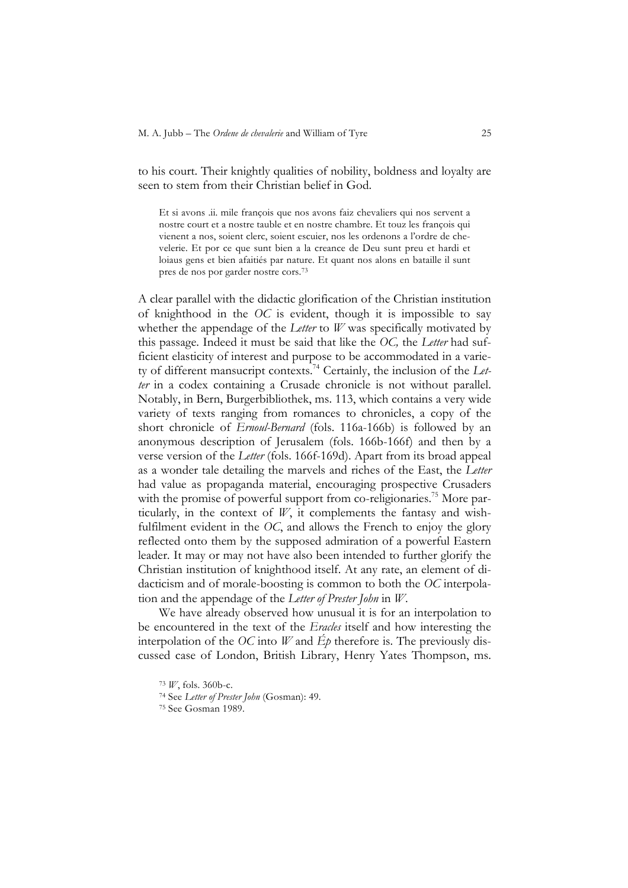to his court. Their knightly qualities of nobility, boldness and loyalty are seen to stem from their Christian belief in God.

Et si avons .ii. mile françois que nos avons faiz chevaliers qui nos servent a nostre court et a nostre tauble et en nostre chambre. Et touz les françois qui vienent a nos, soient clerc, soient escuier, nos les ordenons a l'ordre de chevelerie. Et por ce que sunt bien a la creance de Deu sunt preu et hardi et loiaus gens et bien afaitiés par nature. Et quant nos alons en bataille il sunt pres de nos por garder nostre cors.73

A clear parallel with the didactic glorification of the Christian institution of knighthood in the *OC* is evident, though it is impossible to say whether the appendage of the *Letter* to *W* was specifically motivated by this passage. Indeed it must be said that like the *OC,* the *Letter* had sufficient elasticity of interest and purpose to be accommodated in a variety of different mansucript contexts.74 Certainly, the inclusion of the *Letter* in a codex containing a Crusade chronicle is not without parallel. Notably, in Bern, Burgerbibliothek, ms. 113, which contains a very wide variety of texts ranging from romances to chronicles, a copy of the short chronicle of *Ernoul-Bernard* (fols. 116a-166b) is followed by an anonymous description of Jerusalem (fols. 166b-166f) and then by a verse version of the *Letter* (fols. 166f-169d). Apart from its broad appeal as a wonder tale detailing the marvels and riches of the East, the *Letter* had value as propaganda material, encouraging prospective Crusaders with the promise of powerful support from co-religionaries.<sup>75</sup> More particularly, in the context of  $W$ , it complements the fantasy and wishfulfilment evident in the *OC*, and allows the French to enjoy the glory reflected onto them by the supposed admiration of a powerful Eastern leader*.* It may or may not have also been intended to further glorify the Christian institution of knighthood itself. At any rate, an element of didacticism and of morale-boosting is common to both the *OC* interpolation and the appendage of the *Letter of Prester John* in *W*.

We have already observed how unusual it is for an interpolation to be encountered in the text of the *Eracles* itself and how interesting the interpolation of the *OC* into *W* and  $E_p$  therefore is. The previously discussed case of London, British Library, Henry Yates Thompson, ms.

<sup>73</sup> *W*, fols. 360b-c.

<sup>74</sup> See *Letter of Prester John* (Gosman): 49.

<sup>75</sup> See Gosman 1989.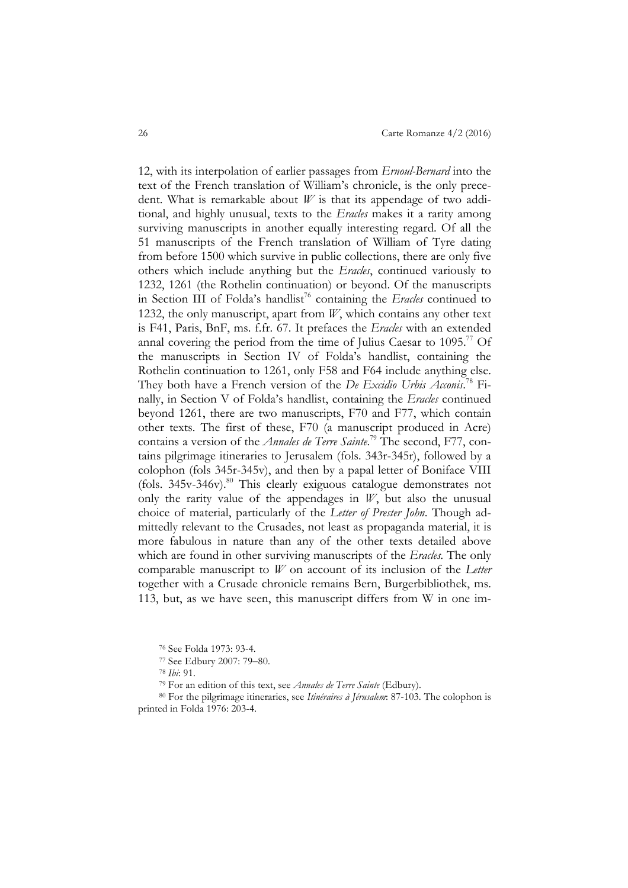12, with its interpolation of earlier passages from *Ernoul-Bernard* into the text of the French translation of William's chronicle, is the only precedent. What is remarkable about *W* is that its appendage of two additional, and highly unusual, texts to the *Eracles* makes it a rarity among surviving manuscripts in another equally interesting regard. Of all the 51 manuscripts of the French translation of William of Tyre dating from before 1500 which survive in public collections, there are only five others which include anything but the *Eracles*, continued variously to 1232, 1261 (the Rothelin continuation) or beyond. Of the manuscripts in Section III of Folda's handlist<sup>76</sup> containing the *Eracles* continued to 1232, the only manuscript, apart from *W*, which contains any other text is F41, Paris, BnF, ms. f.fr. 67. It prefaces the *Eracles* with an extended annal covering the period from the time of Julius Caesar to  $1095.^{77}$  Of the manuscripts in Section IV of Folda's handlist, containing the Rothelin continuation to 1261, only F58 and F64 include anything else. They both have a French version of the *De Excidio Urbis Acconis*. <sup>78</sup> Finally, in Section V of Folda's handlist, containing the *Eracles* continued beyond 1261, there are two manuscripts, F70 and F77, which contain other texts. The first of these, F70 (a manuscript produced in Acre) contains a version of the *Annales de Terre Sainte*. <sup>79</sup> The second, F77, contains pilgrimage itineraries to Jerusalem (fols. 343r-345r), followed by a colophon (fols 345r-345v), and then by a papal letter of Boniface VIII (fols.  $345v-346v$ ).<sup>80</sup> This clearly exiguous catalogue demonstrates not only the rarity value of the appendages in *W*, but also the unusual choice of material, particularly of the *Letter of Prester John*. Though admittedly relevant to the Crusades, not least as propaganda material, it is more fabulous in nature than any of the other texts detailed above which are found in other surviving manuscripts of the *Eracles.* The only comparable manuscript to *W* on account of its inclusion of the *Letter* together with a Crusade chronicle remains Bern, Burgerbibliothek, ms. 113, but, as we have seen, this manuscript differs from W in one im-

<sup>76</sup> See Folda 1973: 93-4.

<sup>77</sup> See Edbury 2007: 79‒80. 78 *Ibi*: 91. 79 For an edition of this text, see *Annales de Terre Sainte* (Edbury).

<sup>80</sup> For the pilgrimage itineraries, see *Itinéraires à Jérusalem*: 87-103. The colophon is printed in Folda 1976: 203-4.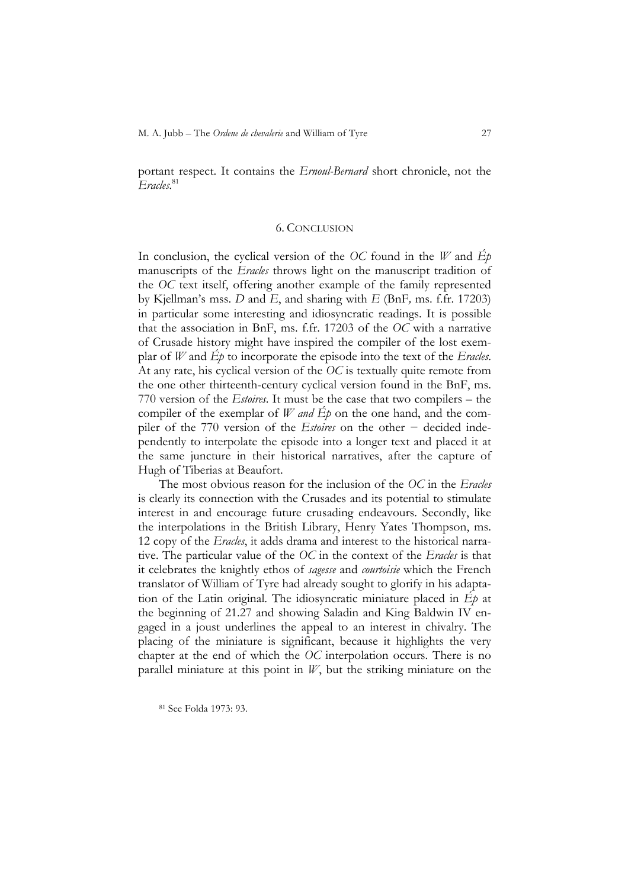portant respect. It contains the *Ernoul-Bernard* short chronicle, not the *Eracles.*<sup>81</sup>

# 6. CONCLUSION

In conclusion, the cyclical version of the *OC* found in the *W* and *Ép*  manuscripts of the *Eracles* throws light on the manuscript tradition of the *OC* text itself, offering another example of the family represented by Kjellman's mss. *D* and *E*, and sharing with *E* (BnF*,* ms. f.fr. 17203) in particular some interesting and idiosyncratic readings. It is possible that the association in BnF, ms. f.fr. 17203 of the *OC* with a narrative of Crusade history might have inspired the compiler of the lost exemplar of *W* and *Ép* to incorporate the episode into the text of the *Eracles*. At any rate, his cyclical version of the *OC* is textually quite remote from the one other thirteenth-century cyclical version found in the BnF, ms. 770 version of the *Estoires*. It must be the case that two compilers – the compiler of the exemplar of *W and*  $E_p$  on the one hand, and the compiler of the 770 version of the *Estoires* on the other − decided independently to interpolate the episode into a longer text and placed it at the same juncture in their historical narratives, after the capture of Hugh of Tiberias at Beaufort.

The most obvious reason for the inclusion of the *OC* in the *Eracles* is clearly its connection with the Crusades and its potential to stimulate interest in and encourage future crusading endeavours. Secondly, like the interpolations in the British Library, Henry Yates Thompson, ms. 12 copy of the *Eracles*, it adds drama and interest to the historical narrative. The particular value of the *OC* in the context of the *Eracles* is that it celebrates the knightly ethos of *sagesse* and *courtoisie* which the French translator of William of Tyre had already sought to glorify in his adaptation of the Latin original. The idiosyncratic miniature placed in *Ép* at the beginning of 21.27 and showing Saladin and King Baldwin IV engaged in a joust underlines the appeal to an interest in chivalry. The placing of the miniature is significant, because it highlights the very chapter at the end of which the *OC* interpolation occurs. There is no parallel miniature at this point in *W*, but the striking miniature on the

<sup>81</sup> See Folda 1973: 93.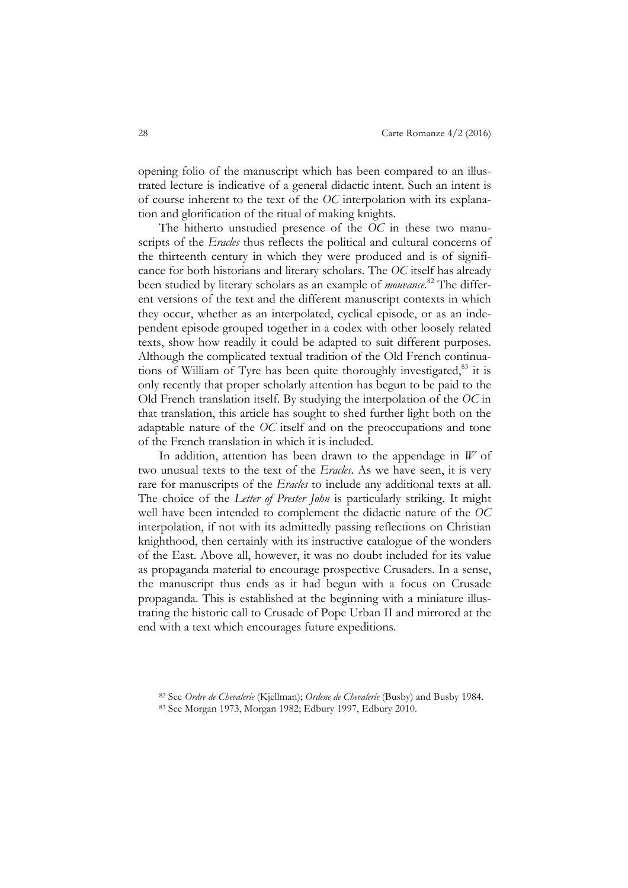opening folio of the manuscript which has been compared to an illustrated lecture is indicative of a general didactic intent. Such an intent is of course inherent to the text of the *OC* interpolation with its explanation and glorification of the ritual of making knights.

The hitherto unstudied presence of the *OC* in these two manuscripts of the *Eracles* thus reflects the political and cultural concerns of the thirteenth century in which they were produced and is of significance for both historians and literary scholars. The *OC* itself has already been studied by literary scholars as an example of *mouvance.* <sup>82</sup> The different versions of the text and the different manuscript contexts in which they occur, whether as an interpolated, cyclical episode, or as an independent episode grouped together in a codex with other loosely related texts, show how readily it could be adapted to suit different purposes. Although the complicated textual tradition of the Old French continuations of William of Tyre has been quite thoroughly investigated, $83$  it is only recently that proper scholarly attention has begun to be paid to the Old French translation itself. By studying the interpolation of the *OC* in that translation, this article has sought to shed further light both on the adaptable nature of the *OC* itself and on the preoccupations and tone of the French translation in which it is included.

In addition, attention has been drawn to the appendage in *W* of two unusual texts to the text of the *Eracles*. As we have seen, it is very rare for manuscripts of the *Eracles* to include any additional texts at all. The choice of the *Letter of Prester John* is particularly striking. It might well have been intended to complement the didactic nature of the *OC* interpolation, if not with its admittedly passing reflections on Christian knighthood, then certainly with its instructive catalogue of the wonders of the East. Above all, however, it was no doubt included for its value as propaganda material to encourage prospective Crusaders. In a sense, the manuscript thus ends as it had begun with a focus on Crusade propaganda. This is established at the beginning with a miniature illustrating the historic call to Crusade of Pope Urban II and mirrored at the end with a text which encourages future expeditions.

<sup>82</sup> See *Ordre de Chevalerie* (Kjellman); *Ordene de Chevalerie* (Busby) and Busby 1984. 83 See Morgan 1973, Morgan 1982; Edbury 1997, Edbury 2010.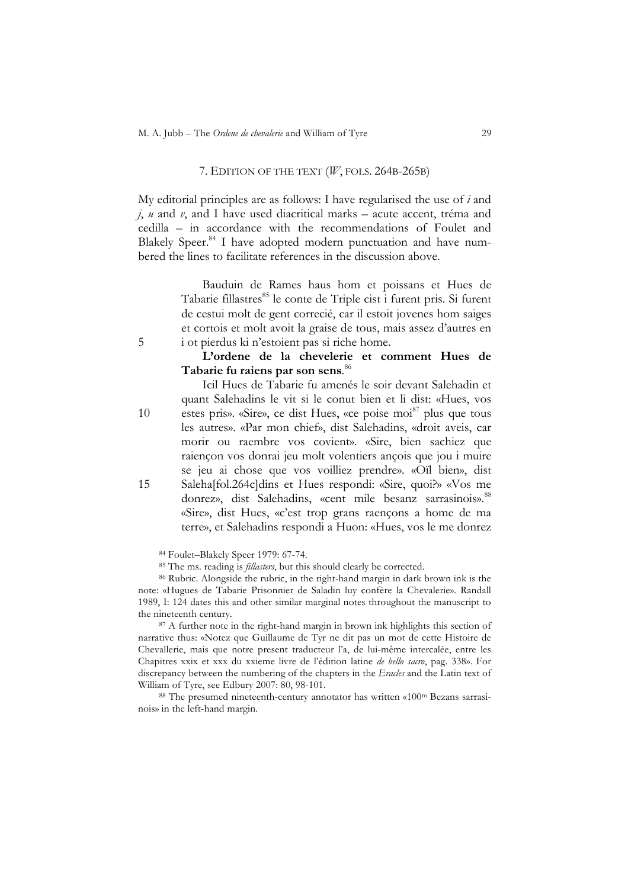### 7. EDITION OF THE TEXT (*W*, FOLS. 264B-265B)

My editorial principles are as follows: I have regularised the use of *i* and *j*, *u* and *v*, and I have used diacritical marks – acute accent, tréma and cedilla – in accordance with the recommendations of Foulet and Blakely Speer.<sup>84</sup> I have adopted modern punctuation and have numbered the lines to facilitate references in the discussion above.

> Bauduin de Rames haus hom et poissans et Hues de Tabarie fillastres<sup>85</sup> le conte de Triple cist i furent pris. Si furent de cestui molt de gent correcié, car il estoit jovenes hom saiges et cortois et molt avoit la graise de tous, mais assez d'autres en i ot pierdus ki n'estoient pas si riche home.

# **L'ordene de la chevelerie et comment Hues de Tabarie fu raiens par son sens**. 86

Icil Hues de Tabarie fu amenés le soir devant Salehadin et quant Salehadins le vit si le conut bien et li dist: «Hues, vos estes pris». «Sire», ce dist Hues, «ce poise moi $87$  plus que tous les autres». «Par mon chief», dist Salehadins, «droit aveis, car morir ou raembre vos covient». «Sire, bien sachiez que raiençon vos donrai jeu molt volentiers ançois que jou i muire se jeu ai chose que vos voilliez prendre». «Oïl bien», dist Saleha[fol.264c]dins et Hues respondi: «Sire, quoi?» «Vos me donrez», dist Salehadins, «cent mile besanz sarrasinois».<sup>88</sup> «Sire», dist Hues, «c'est trop grans raençons a home de ma terre», et Salehadins respondi a Huon: «Hues, vos le me donrez

narrative thus: «Notez que Guillaume de Tyr ne dit pas un mot de cette Histoire de Chevallerie, mais que notre present traducteur l'a, de lui-même intercalée, entre les Chapitres xxix et xxx du xxieme livre de l'édition latine *de bello sacro*, pag. 338». For discrepancy between the numbering of the chapters in the *Eracles* and the Latin text of William of Tyre, see Edbury 2007: 80, 98-101.<br><sup>88</sup> The presumed nineteenth-century annotator has written «100<sup>m</sup> Bezans sarrasi-

nois» in the left-hand margin.

15

10

5

<sup>84</sup> Foulet–Blakely Speer 1979: 67-74. 85 The ms. reading is *fillasters*, but this should clearly be corrected. 86 Rubric. Alongside the rubric, in the right-hand margin in dark brown ink is the note: «Hugues de Tabarie Prisonnier de Saladin luy confère la Chevalerie». Randall 1989, I: 124 dates this and other similar marginal notes throughout the manuscript to the nineteenth century.<br><sup>87</sup> A further note in the right-hand margin in brown ink highlights this section of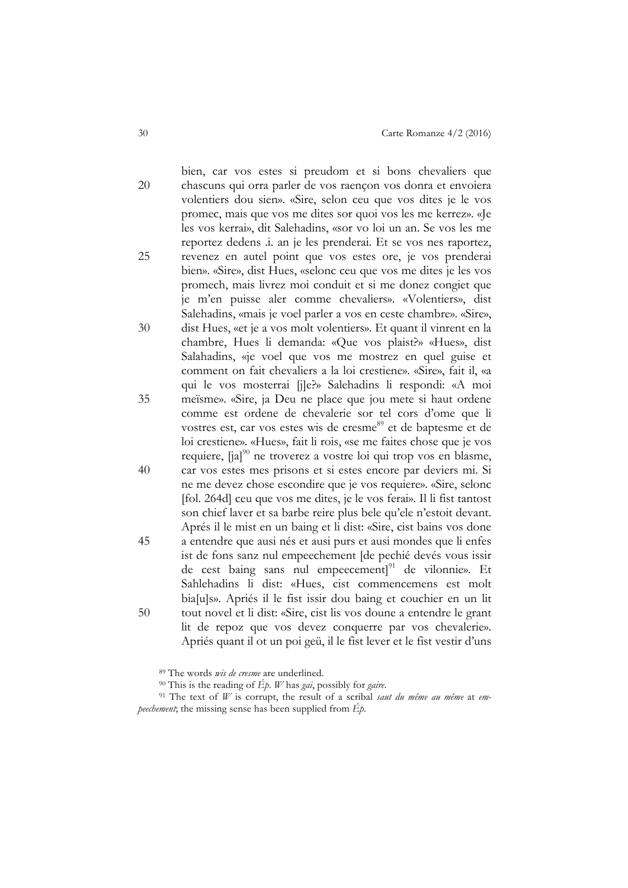20 25 30 35 40 45 50 bien, car vos estes si preudom et si bons chevaliers que chascuns qui orra parler de vos raençon vos donra et envoiera volentiers dou sien». «Sire, selon ceu que vos dites je le vos promec, mais que vos me dites sor quoi vos les me kerrez». «Je les vos kerrai», dit Salehadins, «sor vo loi un an. Se vos les me reportez dedens .i. an je les prenderai. Et se vos nes raportez, revenez en autel point que vos estes ore, je vos prenderai bien». «Sire», dist Hues, «selonc ceu que vos me dites je les vos promech, mais livrez moi conduit et si me donez congiet que je m'en puisse aler comme chevaliers». «Volentiers», dist Salehadins, «mais je voel parler a vos en ceste chambre». «Sire», dist Hues, «et je a vos molt volentiers». Et quant il vinrent en la chambre, Hues li demanda: «Que vos plaist?» «Hues», dist Salahadins, «je voel que vos me mostrez en quel guise et comment on fait chevaliers a la loi crestiene». «Sire», fait il, «a qui le vos mosterrai [j]e?» Salehadins li respondi: «A moi meïsme». «Sire, ja Deu ne place que jou mete si haut ordene comme est ordene de chevalerie sor tel cors d'ome que li vostres est, car vos estes wis de cresme<sup>89</sup> et de baptesme et de loi crestiene». «Hues», fait li rois, «se me faites chose que je vos requiere,  $[ia]^{90}$  ne troverez a vostre loi qui trop vos en blasme, car vos estes mes prisons et si estes encore par deviers mi. Si ne me devez chose escondire que je vos requiere». «Sire, selonc [fol. 264d] ceu que vos me dites, je le vos ferai». Il li fist tantost son chief laver et sa barbe reire plus bele qu'ele n'estoit devant. Aprés il le mist en un baing et li dist: «Sire, cist bains vos done a entendre que ausi nés et ausi purs et ausi mondes que li enfes ist de fons sanz nul empeechement [de pechié devés vous issir de cest baing sans nul empeecement]<sup>91</sup> de vilonnie». Et Sahlehadins li dist: «Hues, cist commencemens est molt bia[u]s». Apriés il le fist issir dou baing et couchier en un lit tout novel et li dist: «Sire, cist lis vos doune a entendre le grant lit de repoz que vos devez conquerre par vos chevalerie». Apriés quant il ot un poi geü, il le fist lever et le fist vestir d'uns

<sup>89</sup> The words *wis de cresme* are underlined.

<sup>91</sup> The text of *W* is corrupt, the result of a scribal *saut du même au même* at *empeechement*; the missing sense has been supplied from *Ép.*

<sup>90</sup> This is the reading of *Ép*. *W* has *gai*, possibly for *gaire*.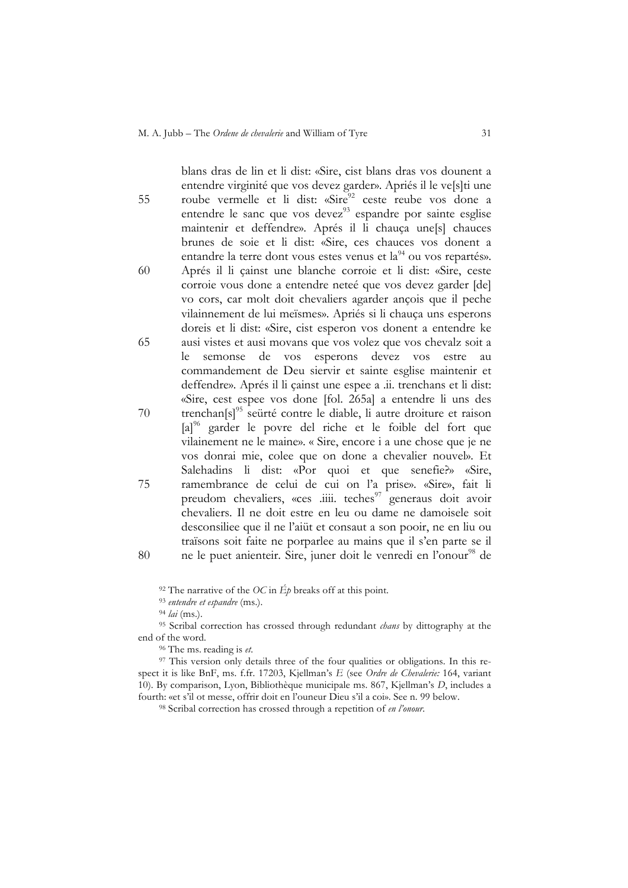55 60 65 70 75 80 blans dras de lin et li dist: «Sire, cist blans dras vos dounent a entendre virginité que vos devez garder». Apriés il le ve[s]ti une roube vermelle et li dist: «Sire<sup>92</sup> ceste reube vos done a entendre le sanc que vos devez<sup>93</sup> espandre por sainte esglise maintenir et deffendre». Aprés il li chauça une[s] chauces brunes de soie et li dist: «Sire, ces chauces vos donent a entandre la terre dont vous estes venus et la $^{94}$  ou vos repartés». Aprés il li çainst une blanche corroie et li dist: «Sire, ceste corroie vous done a entendre neteé que vos devez garder [de] vo cors, car molt doit chevaliers agarder ançois que il peche vilainnement de lui meïsmes». Apriés si li chauça uns esperons doreis et li dist: «Sire, cist esperon vos donent a entendre ke ausi vistes et ausi movans que vos volez que vos chevalz soit a le semonse de vos esperons devez vos estre au commandement de Deu siervir et sainte esglise maintenir et deffendre». Aprés il li çainst une espee a .ii. trenchans et li dist: «Sire, cest espee vos done [fol. 265a] a entendre li uns des trenchan[s]95 seürté contre le diable, li autre droiture et raison  $[a]$ <sup>96</sup> garder le povre del riche et le foible del fort que vilainement ne le maine». « Sire, encore i a une chose que je ne vos donrai mie, colee que on done a chevalier nouvel». Et Salehadins li dist: «Por quoi et que senefie?» «Sire, ramembrance de celui de cui on l'a prise». «Sire», fait li preudom chevaliers, «ces .iiii. teches<sup>97</sup> generaus doit avoir chevaliers. Il ne doit estre en leu ou dame ne damoisele soit desconsiliee que il ne l'aiüt et consaut a son pooir, ne en liu ou traïsons soit faite ne porparlee au mains que il s'en parte se il ne le puet anienteir. Sire, juner doit le venredi en l'onour<sup>98</sup> de

<sup>92</sup> The narrative of the *OC* in *Ép* breaks off at this point.

<sup>93</sup> *entendre et espandre* (ms.).

<sup>94</sup> *lai* (ms.).

<sup>95</sup> Scribal correction has crossed through redundant *chans* by dittography at the

end of the word.<br><sup>96</sup> The ms. reading is *et*.<br><sup>97</sup> This version only details three of the four qualities or obligations. In this respect it is like BnF, ms. f.fr. 17203, Kjellman's *E* (see *Ordre de Chevalerie:* 164, variant 10). By comparison, Lyon, Bibliothèque municipale ms. 867, Kjellman's *D*, includes a fourth: «et s'il ot messe, offrir doit en l'ouneur Dieu s'il a coi». See n. 99 below.

<sup>98</sup> Scribal correction has crossed through a repetition of *en l'onour*.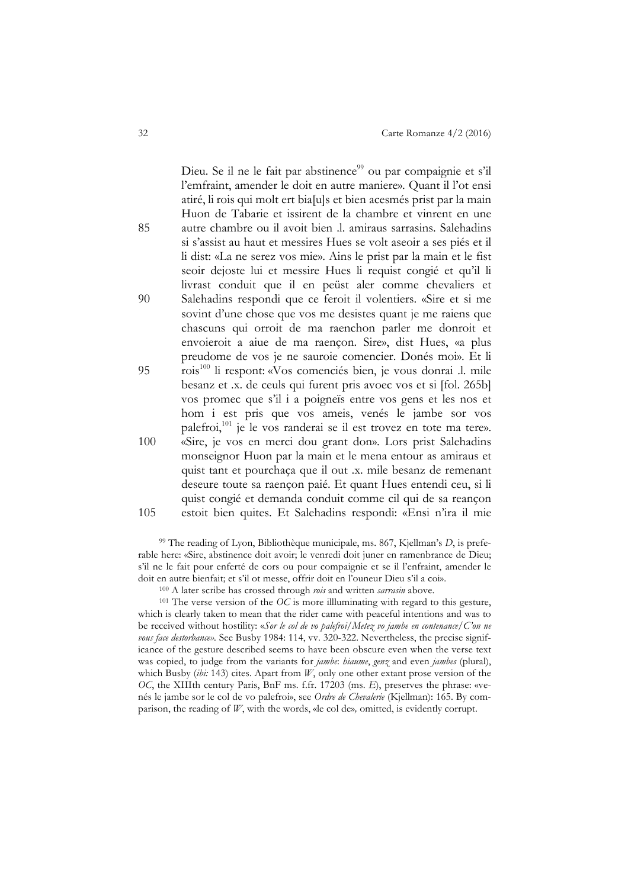85 90 95 100 105 Dieu. Se il ne le fait par abstinence<sup>99</sup> ou par compaignie et s'il l'emfraint, amender le doit en autre maniere». Quant il l'ot ensi atiré, li rois qui molt ert bia[u]s et bien acesmés prist par la main Huon de Tabarie et issirent de la chambre et vinrent en une autre chambre ou il avoit bien .l. amiraus sarrasins. Salehadins si s'assist au haut et messires Hues se volt aseoir a ses piés et il li dist: «La ne serez vos mie». Ains le prist par la main et le fist seoir dejoste lui et messire Hues li requist congié et qu'il li livrast conduit que il en peüst aler comme chevaliers et Salehadins respondi que ce feroit il volentiers. «Sire et si me sovint d'une chose que vos me desistes quant je me raiens que chascuns qui orroit de ma raenchon parler me donroit et envoieroit a aiue de ma raençon. Sire», dist Hues, «a plus preudome de vos je ne sauroie comencier. Donés moi». Et li rois100 li respont: «Vos comenciés bien, je vous donrai .l. mile besanz et .x. de ceuls qui furent pris avoec vos et si [fol. 265b] vos promec que s'il i a poigneïs entre vos gens et les nos et hom i est pris que vos ameis, venés le jambe sor vos palefroi,<sup>101</sup> je le vos randerai se il est trovez en tote ma tere». «Sire, je vos en merci dou grant don». Lors prist Salehadins monseignor Huon par la main et le mena entour as amiraus et quist tant et pourchaça que il out .x. mile besanz de remenant deseure toute sa raençon paié. Et quant Hues entendi ceu, si li quist congié et demanda conduit comme cil qui de sa reançon estoit bien quites. Et Salehadins respondi: «Ensi n'ira il mie

<sup>99</sup> The reading of Lyon, Bibliothèque municipale, ms. 867, Kjellman's *D*, is preferable here: «Sire, abstinence doit avoir; le venredi doit juner en ramenbrance de Dieu; s'il ne le fait pour enferté de cors ou pour compaignie et se il l'enfraint, amender le doit en autre bienfait; et s'il ot messe, offrir doit en l'ouneur Dieu s'il a coi».

<sup>100</sup> A later scribe has crossed through *rois* and written *sarrasin* above.

<sup>101</sup> The verse version of the *OC* is more illluminating with regard to this gesture, which is clearly taken to mean that the rider came with peaceful intentions and was to be received without hostility: «*Sor le col de vo palefroi/Metez vo jambe en contenance/C'on ne vous face destorbance».* See Busby 1984: 114, vv. 320-322. Nevertheless, the precise significance of the gesture described seems to have been obscure even when the verse text was copied, to judge from the variants for *jambe*: *hiaume*, *genz* and even *jambes* (plural), which Busby (*ibi:* 143) cites. Apart from *W*, only one other extant prose version of the *OC*, the XIIIth century Paris, BnF ms. f.fr. 17203 (ms. *E*), preserves the phrase: «venés le jambe sor le col de vo palefroi», see *Ordre de Chevalerie* (Kjellman): 165. By comparison, the reading of *W*, with the words, «le col de»*,* omitted, is evidently corrupt.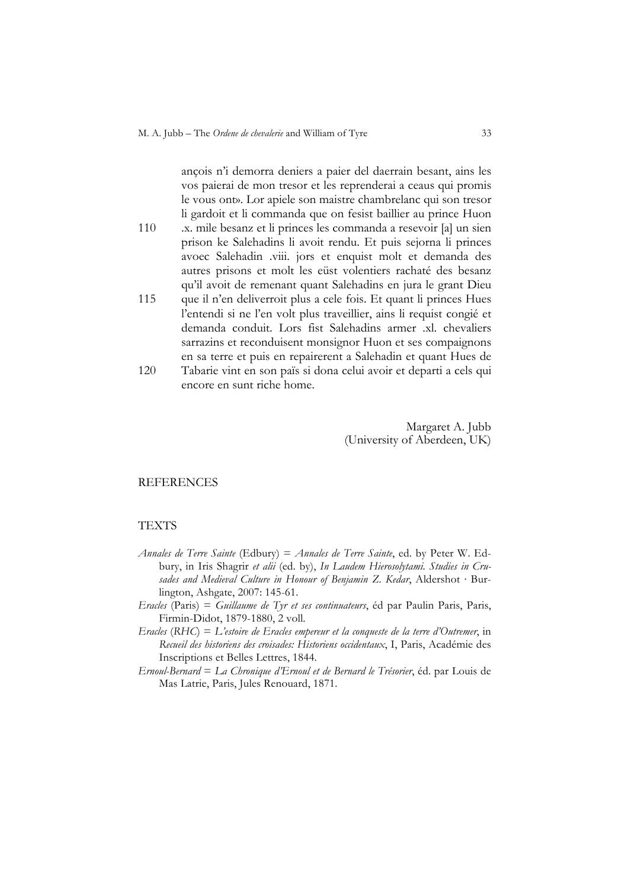ançois n'i demorra deniers a paier del daerrain besant, ains les vos paierai de mon tresor et les reprenderai a ceaus qui promis le vous ont». Lor apiele son maistre chambrelanc qui son tresor li gardoit et li commanda que on fesist baillier au prince Huon

- 110 .x. mile besanz et li princes les commanda a resevoir [a] un sien prison ke Salehadins li avoit rendu. Et puis sejorna li princes avoec Salehadin .viii. jors et enquist molt et demanda des autres prisons et molt les eüst volentiers rachaté des besanz qu'il avoit de remenant quant Salehadins en jura le grant Dieu
- 115 que il n'en deliverroit plus a cele fois. Et quant li princes Hues l'entendi si ne l'en volt plus traveillier, ains li requist congié et demanda conduit. Lors fist Salehadins armer .xl. chevaliers sarrazins et reconduisent monsignor Huon et ses compaignons en sa terre et puis en repairerent a Salehadin et quant Hues de
- 120 Tabarie vint en son païs si dona celui avoir et departi a cels qui encore en sunt riche home.

Margaret A. Jubb (University of Aberdeen, UK)

#### **REFERENCES**

# **TEXTS**

- *Annales de Terre Sainte* (Edbury) = *Annales de Terre Sainte*, ed. by Peter W. Edbury, in Iris Shagrir *et alii* (ed. by), *In Laudem Hierosolytami. Studies in Crusades and Medieval Culture in Honour of Benjamin Z. Kedar*, Aldershot · Burlington, Ashgate, 2007: 145-61.
- *Eracles* (Paris) = *Guillaume de Tyr et ses continuateurs*, éd par Paulin Paris, Paris, Firmin-Didot, 1879-1880, 2 voll.
- *Eracles* (*RHC*) = *L'estoire de Eracles empereur et la conqueste de la terre d'Outremer*, in *Recueil des historiens des croisades: Historiens occidentaux*, I, Paris, Académie des Inscriptions et Belles Lettres, 1844.
- *Ernoul-Bernard* = *La Chronique d'Ernoul et de Bernard le Trésorier*, éd. par Louis de Mas Latrie, Paris, Jules Renouard, 1871.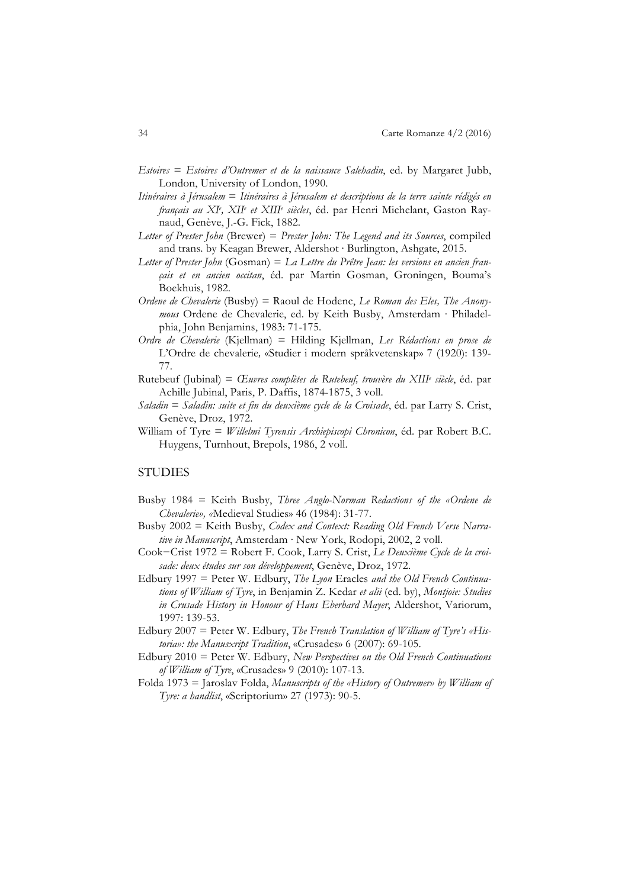- *Estoires* = *Estoires d'Outremer et de la naissance Salehadin*, ed. by Margaret Jubb, London, University of London, 1990.
- *Itinéraires à Jérusalem* = *Itinéraires à Jérusalem et descriptions de la terre sainte rédigés en français au XIe , XIIe et XIIIe siècles*, éd. par Henri Michelant, Gaston Raynaud, Genève, J.-G. Fick, 1882.
- *Letter of Prester John* (Brewer) = *Prester John: The Legend and its Sources*, compiled and trans. by Keagan Brewer, Aldershot · Burlington, Ashgate, 2015.
- *Letter of Prester John* (Gosman) = *La Lettre du Prêtre Jean: les versions en ancien français et en ancien occitan*, éd. par Martin Gosman, Groningen, Bouma's Boekhuis, 1982.
- *Ordene de Chevalerie* (Busby) = Raoul de Hodenc, *Le Roman des Eles, The Anonymous* Ordene de Chevalerie, ed. by Keith Busby, Amsterdam · Philadelphia, John Benjamins, 1983: 71-175.
- *Ordre de Chevalerie* (Kjellman) = Hilding Kjellman, *Les Rédactions en prose de* L'Ordre de chevalerie*,* «Studier i modern språkvetenskap» 7 (1920): 139- 77.
- Rutebeuf (Jubinal) = *Œuvres complètes de Rutebeuf, trouvère du XIIIe siècle*, éd. par Achille Jubinal, Paris, P. Daffis, 1874-1875, 3 voll.
- *Saladin* = *Saladin: suite et fin du deuxième cycle de la Croisade*, éd. par Larry S. Crist, Genève, Droz, 1972.
- William of Tyre = *Willelmi Tyrensis Archiepiscopi Chronicon*, éd. par Robert B.C. Huygens, Turnhout, Brepols, 1986, 2 voll.

## **STUDIES**

- Busby 1984 = Keith Busby, *Three Anglo-Norman Redactions of the «Ordene de Chevalerie», «*Medieval Studies» 46 (1984): 31-77.
- Busby 2002 = Keith Busby, *Codex and Context: Reading Old French Verse Narrative in Manuscript*, Amsterdam · New York, Rodopi, 2002, 2 voll.
- Cook−Crist 1972 = Robert F. Cook, Larry S. Crist, *Le Deuxième Cycle de la croisade: deux études sur son développement*, Genève, Droz, 1972.
- Edbury 1997 = Peter W. Edbury, *The Lyon* Eracles *and the Old French Continuations of William of Tyre*, in Benjamin Z. Kedar *et alii* (ed. by), *Montjoie: Studies in Crusade History in Honour of Hans Eberhard Mayer*, Aldershot, Variorum, 1997: 139-53.
- Edbury 2007 = Peter W. Edbury, *The French Translation of William of Tyre's «Historia»: the Manusxript Tradition*, «Crusades» 6 (2007): 69-105.
- Edbury 2010 = Peter W. Edbury, *New Perspectives on the Old French Continuations of William of Tyre*, «Crusades» 9 (2010): 107-13.
- Folda 1973 = Jaroslav Folda, *Manuscripts of the «History of Outremer» by William of Tyre: a handlist*, «Scriptorium» 27 (1973): 90-5.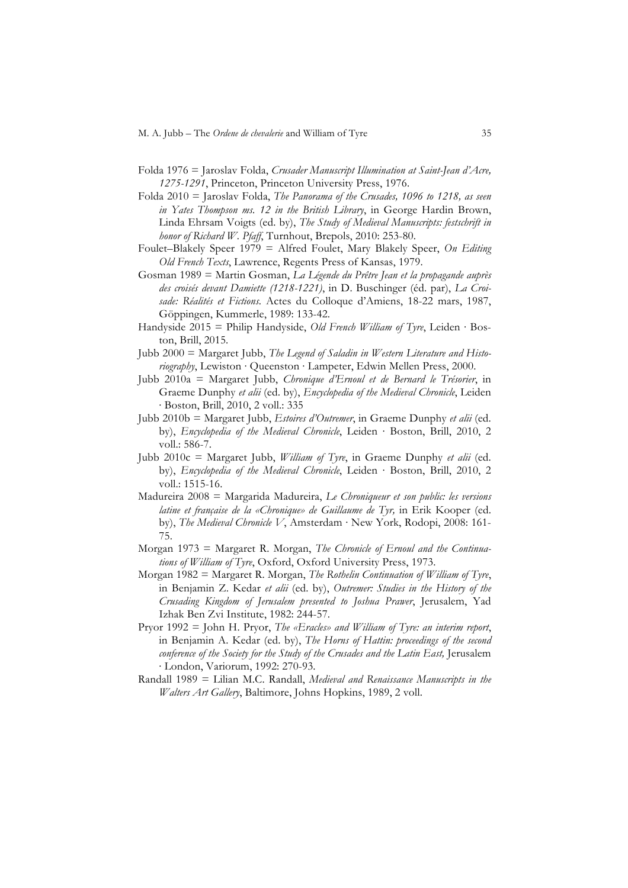- Folda 1976 = Jaroslav Folda, *Crusader Manuscript Illumination at Saint-Jean d'Acre, 1275-1291*, Princeton, Princeton University Press, 1976.
- Folda 2010 = Jaroslav Folda, *The Panorama of the Crusades, 1096 to 1218, as seen in Yates Thompson ms. 12 in the British Library*, in George Hardin Brown, Linda Ehrsam Voigts (ed. by), *The Study of Medieval Manuscripts: festschrift in honor of Richard W. Pfaff*, Turnhout, Brepols, 2010: 253-80.
- Foulet–Blakely Speer 1979 = Alfred Foulet, Mary Blakely Speer, *On Editing Old French Texts*, Lawrence, Regents Press of Kansas, 1979.
- Gosman 1989 = Martin Gosman, *La Légende du Prêtre Jean et la propagande auprès des croisés devant Damiette (1218-1221)*, in D. Buschinger (éd. par), *La Croisade: Réalités et Fictions.* Actes du Colloque d'Amiens, 18-22 mars, 1987, Göppingen, Kummerle, 1989: 133-42.
- Handyside 2015 = Philip Handyside, *Old French William of Tyre*, Leiden · Boston, Brill, 2015.
- Jubb 2000 = Margaret Jubb, *The Legend of Saladin in Western Literature and Historiography*, Lewiston · Queenston · Lampeter, Edwin Mellen Press, 2000.
- Jubb 2010a = Margaret Jubb, *Chronique d'Ernoul et de Bernard le Trésorier*, in Graeme Dunphy *et alii* (ed. by), *Encyclopedia of the Medieval Chronicle*, Leiden · Boston, Brill, 2010, 2 voll.: 335
- Jubb 2010b = Margaret Jubb, *Estoires d'Outremer*, in Graeme Dunphy *et alii* (ed. by), *Encyclopedia of the Medieval Chronicle*, Leiden · Boston, Brill, 2010, 2 voll.: 586-7.
- Jubb 2010c = Margaret Jubb, *William of Tyre*, in Graeme Dunphy *et alii* (ed. by), *Encyclopedia of the Medieval Chronicle*, Leiden · Boston, Brill, 2010, 2 voll.: 1515-16.
- Madureira 2008 = Margarida Madureira, *Le Chroniqueur et son public: les versions latine et française de la «Chronique» de Guillaume de Tyr*, in Erik Kooper (ed. by), *The Medieval Chronicle V*, Amsterdam · New York, Rodopi, 2008: 161- 75.
- Morgan 1973 = Margaret R. Morgan, *The Chronicle of Ernoul and the Continuations of William of Tyre*, Oxford, Oxford University Press, 1973.
- Morgan 1982 = Margaret R. Morgan, *The Rothelin Continuation of William of Tyre*, in Benjamin Z. Kedar *et alii* (ed. by), *Outremer: Studies in the History of the Crusading Kingdom of Jerusalem presented to Joshua Prawer*, Jerusalem, Yad Izhak Ben Zvi Institute, 1982: 244-57.
- Pryor 1992 = John H. Pryor, *The «Eracles» and William of Tyre: an interim report*, in Benjamin A. Kedar (ed. by), *The Horns of Hattin: proceedings of the second conference of the Society for the Study of the Crusades and the Latin East, Jerusalem* · London, Variorum, 1992: 270-93.
- Randall 1989 = Lilian M.C. Randall, *Medieval and Renaissance Manuscripts in the Walters Art Gallery*, Baltimore, Johns Hopkins, 1989, 2 voll.